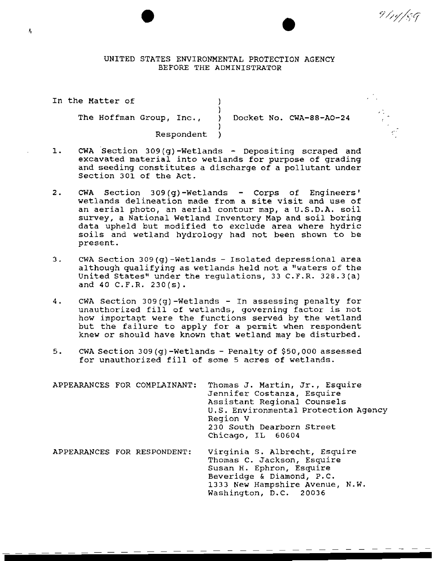UNITED STATES ENVIRONMENTAL PROTECTION AGENCY BEFORE THE ADMINISTRATOR

)

)

In the Matter of (1) The Hoffman Group, Inc., ) Docket No. CWA-88-A0-24

9 /1y/59

Respondent )

- 1. CWA Section 309(g)-Wetlands Depositing scraped and excavated material into wetlands for purpose of grading and seeding constitutes a discharge of a pollutant under Section 301 of the Act.
- 2. CWA Section 309(g)-Wetlands Corps of Engineers' wetlands delineation made from a site visit and use of an aerial photo, an aerial contour map, a U.S.D.A. soil survey, a National Wetland Inventory Map and soil boring data upheld but modified to exclude area where hydric soils and wetland hydrology had not been shown to be present.
- 3. CWA Section 309(g)-Wetlands- Isolated depressional area although qualifying as wetlands held not a "waters of the United States" under the regulations, 33 C.F.R. 328.3(a) and 40 C.P.R. 230(s).
- 4. CWA Section 309(g)-Wetlands In assessing penalty for unauthorized fill of wetlands, governing factor is not how important were the functions served by the wetland but the failure to apply for a permit when respondent knew or should have known that wetland may be disturbed.
- 5. CWA Section 309 (q) -Wetlands Penalty of \$50,000 assessed for unauthorized fill of some 5 acres of wetlands.

|                             | APPEARANCES FOR COMPLAINANT: | Thomas J. Martin, Jr., Esquire<br>Jennifer Costanza, Esquire<br>Assistant Regional Counsels<br>U.S. Environmental Protection Agency<br>Region V<br>230 South Dearborn Street<br>Chicago, IL 60604 |
|-----------------------------|------------------------------|---------------------------------------------------------------------------------------------------------------------------------------------------------------------------------------------------|
| APPEARANCES FOR RESPONDENT: |                              | Virginia S. Albrecht, Esquire<br>Thomas C. Jackson, Esquire<br>Susan H. Ephron, Esquire<br>Beveridge & Diamond, P.C.<br>1333 New Hampshire Avenue, N.W.<br>Washington, D.C. 20036                 |

---

Ą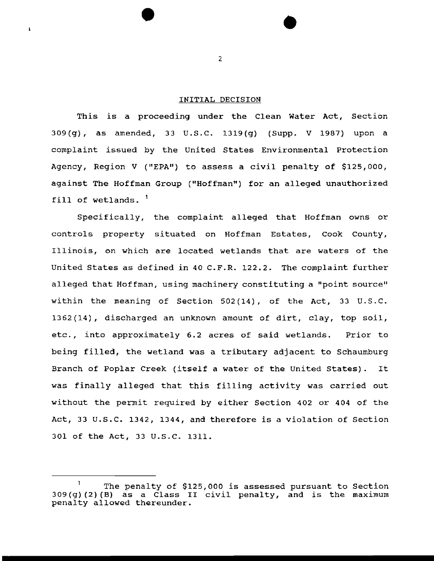# INITIAL DECISION

This is a proceeding under the Clean Water Act, Section 309(g), as amended, 33 U.S.C. 1319(g) (Supp. V 1987) upon a complaint issued by the United States Environmental Protection Agency, Region V ("EPA") to assess a civil penalty of \$125,000, against The Hoffman Group ("Hoffman") for an alleged unauthorized fill of wetlands.<sup>1</sup>

Specifically, the complaint alleged that Hoffman owns or controls property situated on Hoffman Estates, Cook County, Illinois, on which are located wetlands that are waters of the United states as defined in 40 C.F.R. 122.2. The complaint further alleged that Hoffman, using machinery constituting a "point source" within the meaning of Section 502(14), of the Act, 33 u.s.c. 1362(14), discharged an unknown amount of dirt, clay, top soil, etc., into approximately 6.2 acres of said wetlands. Prior to being filled, the wetland was a tributary adjacent to Schaumburg Branch of Poplar Creek (itself a water of the United States). It was finally alleged that this filling activity was carried out without the permit required by either Section 402 or 404 of the Act, 33 U.S.C. 1342, 1344, and therefore is a violation of Section 301 of the Act, 33 u.s.c. 1311.

2

 $\mathbf{I}$ 

 $\mathbf{1}$ The penalty of \$125,000 is assessed pursuant to Section  $309(g)(2)(B)$  as a Class II civil penalty, and is the maximum penalty allowed thereunder.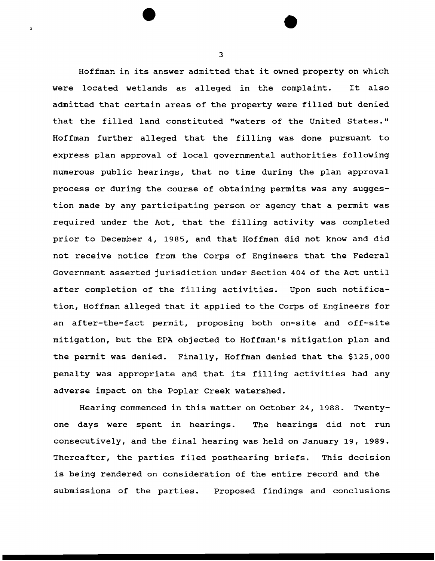Hoffman in its answer admitted that it owned property on which were located wetlands as alleged in the complaint. It also admitted that certain areas of the property were filled but denied that the filled land constituted "waters of the United States." Hoffman further alleged that the filling was done pursuant to express plan approval of local governmental authorities following numerous public hearings, that no time during the plan approval process or during the course of obtaining permits was any suggestion made by any participating person or agency that a permit was required under the Act, that the filling activity was completed prior to December 4, 1985, and that Hoffman did not know and did not receive notice from the Corps of Engineers that the Federal Government asserted jurisdiction under Section 404 of the Act until after completion of the filling activities. Upon such notification, Hoffman alleged that it applied to the Corps of Engineers for an after-the-fact permit, proposing both on-site and off-site mitigation, but the EPA objected to Hoffman's mitigation plan and the permit was denied. Finally, Hoffman denied that the \$125,000 penalty was appropriate and that its filling activities had any adverse impact on the Poplar Creek watershed.

Hearing commenced in this matter on October 24, 1988. Twentyone days were spent in hearings. The hearings did not run consecutively, and the final hearing was held on January 19, 1989. Thereafter, the parties filed posthearing briefs. This decision is being rendered on consideration of the entire record and the submissions of the parties. Proposed findings and conclusions

3

 $\mathbf{A}$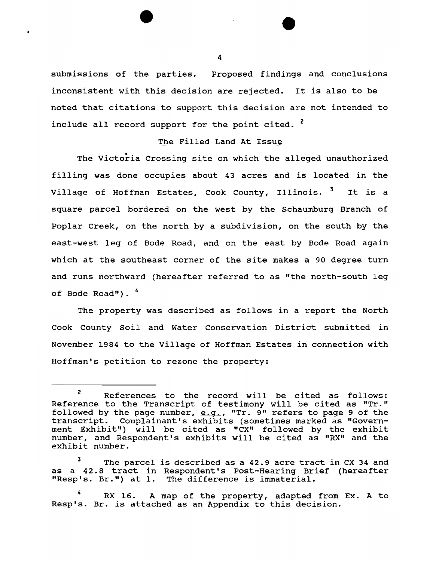submissions of the parties. Proposed findings and conclusions inconsistent with this decision are rejected. It is also to be noted that citations to support this decision are not intended to include all record support for the point cited. <sup>2</sup>

#### The Filled Land At Issue

The Victoria Crossing site on which the alleged unauthorized filling was done occupies about 43 acres and is located in the Village of Hoffman Estates, Cook County, Illinois. <sup>3</sup> It is a square parcel bordered on the west by the Schaumburg Branch of Poplar Creek, on the north by a subdivision, on the south by the east-west leg of Bode Road, and on the east by Bode Road again which at the southeast corner of the site makes a 90 degree turn and runs northward (hereafter referred to as "the north-south leg of Bode Road").  $4$ 

The property was described as follows in a report the North Cook County Soil and Water Conservation District submitted in November 1984 to the Village of Hoffman Estates in connection with Hoffman's petition to rezone the property:

<sup>2</sup> References to the record will be cited as follows: Reference to the Transcript of testimony will be cited as "Tr." followed by the page number, e.g., "Tr. 9" refers to page 9 of the transcript. Complainant's exhibits (sometimes marked as "Govern-Complainant's exhibits (sometimes marked as "Government Exhibit") will be cited as "CX" followed by the exhibit number, and Respondent's exhibits will be cited as "RX" and the exhibit number.

The parcel is described as a 42.9 acre tract in CX 34 and as a 42.8 tract in Respondent's Post-Hearing Brief (hereafter "Resp's. Br.") at l. The difference is immaterial.

RX 16. A map of the property, adapted from Ex. A to Resp's. Br. is attached as an Appendix to this decision.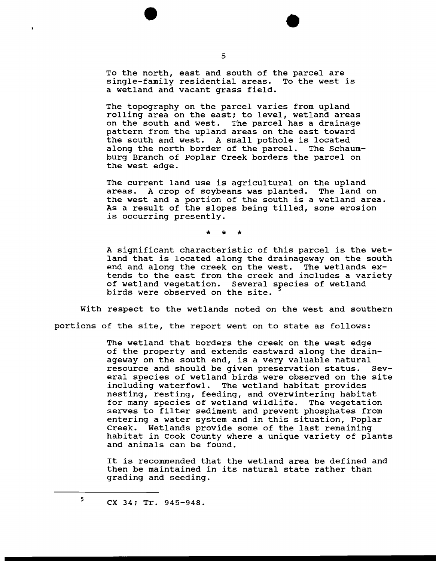To the north, east and south of the parcel are single-family residential areas. To the west is a wetland and vacant grass field.

The topography on the parcel varies from upland rolling area on the east; to level, wetland areas on the south and west. The parcel has a drainage pattern from the upland areas on the east toward the south and west. A small pothole is located along the north border of the parcel. The Schaumburg Branch of Poplar Creek borders the parcel on the west edge.

The current land use is agricultural on the upland<br>areas. A crop of sovbeans was planted. The land o A crop of soybeans was planted. The land on the west and a portion of the south is a wetland area. As a result of the slopes being tilled, some erosion is occurring presently.

\* \* \*

A significant characteristic of this parcel is the wetland that is located along the drainageway on the south end and along the creek on the west. The wetlands extends to the east from the creek and includes a variety of wetland vegetation. Several species of wetland birds were observed on the site.

With respect to the wetlands noted on the west and southern

portions of the site, the report went on to state as follows:

The wetland that borders the creek on the west edge of the property and extends eastward along the drainageway on the south end, is a very valuable natural<br>resource and should be given preservation status. Sevresource and should be given preservation status. eral species of wetland birds were observed on the site including waterfowl. The wetland habitat provides nesting, resting, feeding, and overwintering habitat for many species of wetland wildlife. The vegetation serves to filter sediment and prevent phosphates from entering a water system and in this situation, Poplar Creek. Wetlands provide some of the last remaining habitat in Cook County where a unique variety of plants and animals can be found.

It is recommended that the wetland area be defined and then be maintained in its natural state rather than grading and seeding.

5

 $\bullet$ 

ex 34; Tr. 945-948.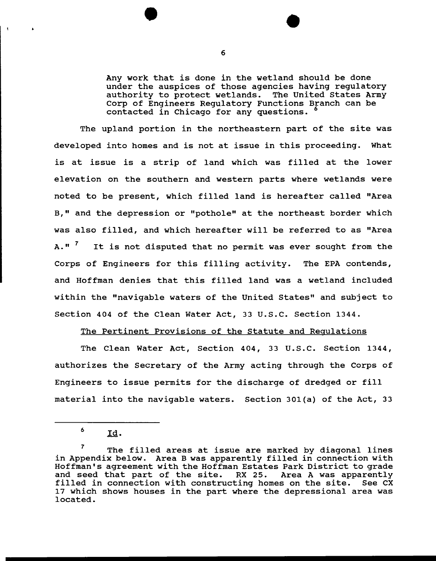Any work that is done in the wetland should be done under the auspices of those agencies having regulatory authority to protect wetlands. The United States Army Corp of Engineers Regulatory Functions Branch can be contacted in Chicago for any questions. 6

The upland portion in the northeastern part of the site was developed into homes and is not at issue in this proceeding. What is at issue is a strip of land which was filled at the lower elevation on the southern and western parts where wetlands were noted to be present, which filled land is hereafter called "Area B," and the depression or "pothole" at the northeast border which was also filled, and which hereafter will be referred to as "Area A.<sup>"</sup> It is not disputed that no permit was ever sought from the Corps of Engineers for this filling activity. The EPA contends, and Hoffman denies that this filled land was a wetland included within the "navigable waters of the United States" and subject to Section 404 of the Clean Water Act, 33 U.S.C. Section 1344.

#### The Pertinent Provisions of the Statute and Regulations

The Clean Water Act, Section 404, 33 u.s.c. Section 1344, authorizes the Secretary of the Army acting through the Corps of Engineers to issue permits for the discharge of dredged or fill material into the navigable waters. Section 301(a) of the Act, 33

 $6$  Id.

The filled areas at issue are marked by diagonal lines in Appendix below. Area B was apparently filled in connection with Hoffman's agreement with the Hoffman Estates Park District to grade and seed that part of the site. RX 25. Area A was apparently filled in connection with constructing homes on the site. See CX 17 which shows houses in the part where the depressional area was located.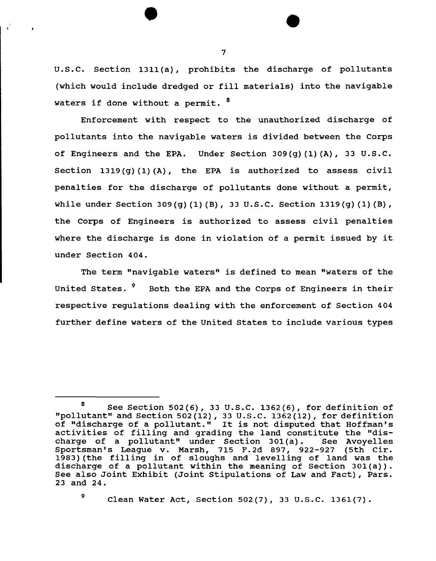u.s.c. Section 1311(a), prohibits the discharge of pollutants (which would include dredged or fill materials) into the navigable waters if done without a permit. <sup>8</sup>

Enforcement with respect to the unauthorized discharge of pollutants into the navigable waters is divided between the Corps of Engineers and the EPA. Under Section 309(g)(1)(A), 33 U.S.C. Section  $1319(q)(1)(A)$ , the EPA is authorized to assess civil penalties for the discharge of pollutants done without a permit, while under Section 309(g) (1) (B), 33 U.S.C. Section 1319(g) (1) (B), the Corps of Engineers is authorized to assess civil penalties where the discharge is done in violation of a permit issued by it under Section 404.

The term "navigable waters" is defined to mean "waters of the United States. <sup>9</sup> Both the EPA and the Corps of Engineers in their respective regulations dealing with the enforcement of Section 404 further define waters of the United States to include various types

 $9$  Clean Water Act, Section 502(7), 33 U.S.C. 1361(7).

7

 $\mathbf{r}$ 

 $\mathbf{r}$ 

<sup>8</sup> See Section 502(6), 33 U.S.C. 1362(6), for definition of "pollutant" and Section 502 (12), 33 u.s.c. 1362 (12), for definition of "discharge of a pollutant." It is not disputed that Hoffman's activities of filling and grading the land constitute the "dis-<br>charge of a pollutant" under Section 301(a). See Avoyelles charge of a pollutant" under Section 301 (a). See Avoyelles Sportsman's League v. Marsh, 715 F.2d 897, 922-927 (5th Cir. 1983) (the filling in of sloughs and levelling of land was the discharge of a pollutant within the meaning of Section 301(a)). See also Joint Exhibit (Joint Stipulations of Law and Fact), Pars. 23 and 24.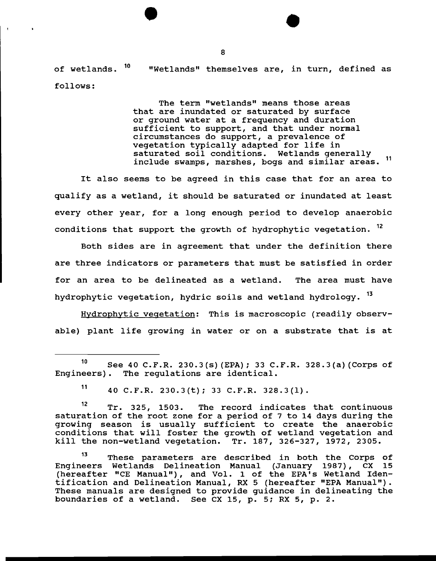of wetlands. 10 follows: "Wetlands" themselves are, in turn, defined as

> The term "wetlands" means those areas that are inundated or saturated by surface or ground water at a frequency and duration sufficient to support, and that under normal circumstances do support, a prevalence of vegetation typically adapted for life in<br>saturated soil conditions. Wetlands generally include swamps, marshes, bogs and similar areas. <sup>11</sup>

It also seems to be agreed in this case that for an area to qualify as a wetland, it should be saturated or inundated at least every other year, for a long enough period to develop anaerobic conditions that support the growth of hydrophytic vegetation. <sup>12</sup>

Both sides are in agreement that under the definition there are three indicators or parameters that must be satisfied in order for an area to be delineated as a wetland. The area must have hydrophytic vegetation, hydric soils and wetland hydrology. <sup>13</sup>

Hydrophytic vegetation: This is macroscopic (readily observable) plant life growing in water or on a substrate that is at

 $11$  40 C.F.R. 230.3(t); 33 C.F.R. 328.3(1).

12 Tr. 325, 1503. The record indicates that continuous saturation of the root zone for a period of 7 to 14 days during the growing season is usually sufficient to create the anaerobic conditions that will foster the growth of wetland vegetation and kill the non-wetland vegetation. Tr. 187, 326-327, 1972, 2305.

13 These parameters are described in both the Corps of Engineers Wetlands Delineation Manual (January 1987), CX 15 (hereafter "CE Manual") , and Vol. 1 of the EPA's Wetland Identification and Delineation Manual, RX 5 (hereafter "EPA Manual"). These manuals are designed to provide guidance in delineating the boundaries of a wetland. See ex 15, p. 5; RX 5, p. 2.

<sup>&</sup>lt;sup>10</sup> See 40 C.F.R. 230.3(s) (EPA); 33 C.F.R. 328.3(a) (Corps of Engineers). The requlations are identical. The regulations are identical.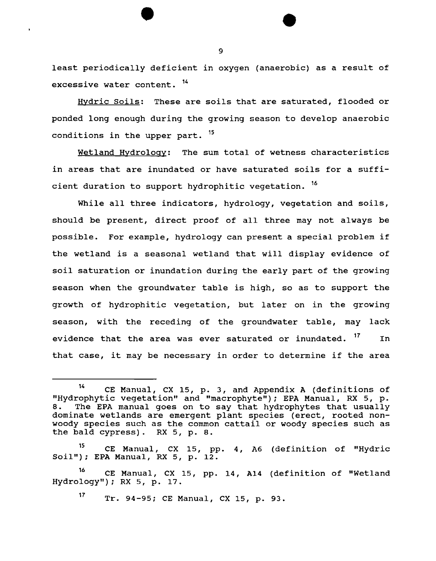least periodically deficient in oxygen (anaerobic) as a result of excessive water content. 14

Hydric Soils: These are soils that are saturated, flooded or ponded long enough during the growing season to develop anaerobic conditions in the upper part. <sup>15</sup>

Wetland Hydrology: The sum total of wetness characteristics in areas that are inundated or have saturated soils for a sufficient duration to support hydrophitic vegetation. <sup>16</sup>

While all three indicators, hydrology, vegetation and soils, should be present, direct proof of all three may not always be possible. For example, hydrology can present a special problem if the wetland is a seasonal wetland that will display evidence of soil saturation or inundation during the early part of the growing season when the groundwater table is high, so as to support the growth of hydrophitic vegetation, but later on in the growing season, with the receding of the groundwater table, may lack evidence that the area was ever saturated or inundated. <sup>17</sup> In that case, it may be necessary in order to determine if the area

<sup>15</sup> CE Manual, CX 15, pp. 4, A6 (definition of "Hydric Soil"); EPA Manual, RX 5, p. 12.

<sup>16</sup> CE Manual, CX 15, pp. 14, A14 (definition of "Wetland Hydrology"); RX 5, p. 17.

17 Tr. 94-95; eE Manual, ex 15, p. 93.

<sup>14</sup> eE Manual, ex 15, p. 3, and Appendix A (definitions of "Hydrophytic vegetation" and "macrophyte"); EPA Manual, RX 5, p. 8. The EPA manual goes on to say that hydrophytes that usually dominate wetlands are emergent plant species (erect, rooted nonwoody species such as the common cattail or woody species such as the bald cypress). RX 5, p. 8.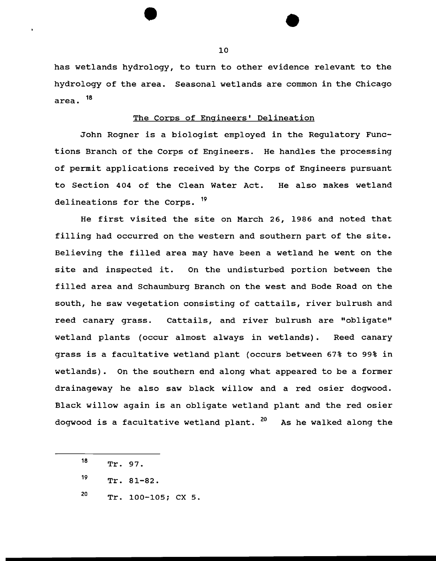has wetlands hydrology, to turn to other evidence relevant to the hydrology of the area. Seasonal wetlands are common in the Chicago area. 18

# The Corps of Engineers' Delineation

John Rogner is a biologist employed in the Regulatory Functions Branch of the Corps of Engineers. He handles the processing of permit applications received by the Corps of Engineers pursuant to Section 404 of the Clean Water Act. He also makes wetland delineations for the Corps. <sup>19</sup>

He first visited the site on March 26, 1986 and noted that filling had occurred on the western and southern part of the site. Believing the filled area may have been a wetland he went on the site and inspected it. On the undisturbed portion between the filled area and Schaumburg Branch on the west and Bode Road on the south, he saw vegetation consisting of cattails, river bulrush and reed canary grass. Cattails, and river bulrush are "obligate" wetland plants (occur almost always in wetlands). Reed canary grass is a facultative wetland plant (occurs between 67% to 99% in wetlands) • On the southern end along what appeared to be a former drainageway he also saw black willow and a red osier dogwood. Black willow again is an obligate wetland plant and the red osier dogwood is a facultative wetland plant. <sup>20</sup> As he walked along the

20 Tr. 100-105; ex 5.

<sup>18</sup>  Tr. 97.

<sup>19</sup>  Tr. 81-82.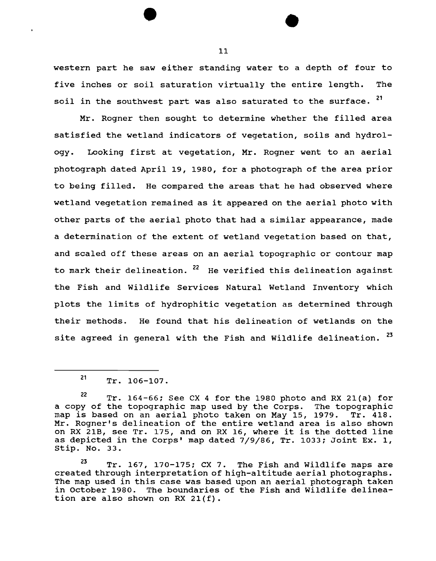western part he saw either standing water to a depth of four to five inches or soil saturation virtually the entire length. The soil in the southwest part was also saturated to the surface. <sup>21</sup>

Mr. Rogner then sought to determine whether the filled area satisfied the wetland indicators of vegetation, soils and hydrology. Looking first at vegetation, Mr. Regner went to an aerial photograph dated April 19, 1980, for a photograph of the area prior to being filled. He compared the areas that he had observed where wetland vegetation remained as it appeared on the aerial photo with other parts of the aerial photo that had a similar appearance, made a determination of the extent of wetland vegetation based on that, and scaled off these areas on an aerial topographic or contour map to mark their delineation.  $22$  He verified this delineation against the Fish and Wildlife Services Natural Wetland Inventory which plots the limits of hydrophitic vegetation as determined through their methods. He found that his delineation of wetlands on the site agreed in general with the Fish and Wildlife delineation. <sup>23</sup>

<sup>21</sup> Tr. 106-107.

 $22$  Tr. 164-66; See CX 4 for the 1980 photo and RX 21(a) for a copy of the topographic map used by the Corps. The topographic a copy of the topographic map abed by the corps. The topographic<br>map is based on an aerial photo taken on May 15, 1979. Tr. 418. Mr. Rogner's delineation of the entire wetland area is also shown on RX 21B, see Tr. 175, and on RX 16, where it is the dotted line as depicted in the Corps' map dated 7/9/86, Tr. 1033; Joint Ex. 1, Stip. No. 33.

 $23$  Tr. 167, 170-175; CX 7. The Fish and Wildlife maps are created through interpretation of high-altitude aerial photographs. The map used in this case was based upon an aerial photograph taken in October 1980. The boundaries of the Fish and Wildlife delineation are also shown on RX  $21(f)$ .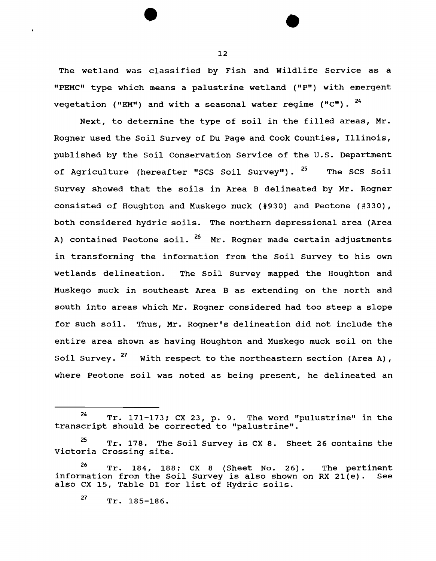The wetland was classified by Fish and Wildlife Service as a "PEMC" type which means a palustrine wetland ("P") with emergent vegetation ("EM") and with a seasonal water regime ("C").  $24$ 

Next, to determine the type of soil in the filled areas, Mr. Rogner used the Soil Survey of Du Page and Cook Counties, Illinois, published by the Soil Conservation Service of the U.S. Department of Agriculture (hereafter "SCS Soil Survey"). <sup>25</sup> The SCS Soil Survey showed that the soils in Area B delineated by Mr. Rogner consisted of Houghton and Muskego muck (#930) and Peotone (#330), both considered hydric soils. The northern depressional area (Area A) contained Peotone soil. <sup>26</sup> Mr. Rogner made certain adjustments in transforming the information from the Soil Survey to his own wetlands delineation. The Soil Survey mapped the Houghton and Muskego muck in southeast Area B as extending on the north and south into areas which Mr. Rogner considered had too steep a slope for such soil. Thus, Mr. Rogner's delineation did not include the entire area shown as having Houghton and Muskego muck soil on the Soil Survey.  $27$  With respect to the northeastern section (Area A), where Peotone soil was noted as being present, he delineated an

 $24$  Tr. 171-173; CX 23, p. 9. The word "pulustrine" in the transcript should be corrected to "palustrine".

<sup>&</sup>lt;sup>25</sup> Tr. 178. The Soil Survey is CX 8. Sheet 26 contains the Victoria Crossing site.

 $26$  Tr. 184, 188; CX 8 (Sheet No. 26). The pertinent information from the Soil Survey is also shown on RX 21(e). See also ex 15, Table 01 for list of Hydric soils.

<sup>27</sup> Tr. 185-186.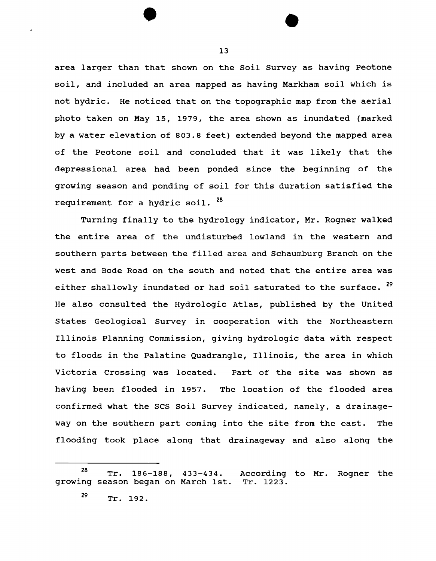area larger than that shown on the Soil Survey as having Peotone soil, and included an area mapped as having Markham soil which is not hydric. He noticed that on the topographic map from the aerial photo taken on May 15, 1979, the area shown as inundated (marked by a water elevation of 803.8 feet) extended beyond the mapped area of the Peotone soil and concluded that it was likely that the depressional area had been ponded since the beginning of the growing season and ponding of soil for this duration satisfied the requirement for a hydric soil. <sup>28</sup>

Turning finally to the hydrology indicator, Mr. Rogner walked the entire area of the undisturbed lowland in the western and southern parts between the filled area and Schaumburg Branch on the west and Bode Road on the south and noted that the entire area was either shallowly inundated or had soil saturated to the surface. <sup>29</sup> He also consulted the Hydrologic Atlas, published by the United States Geological Survey in cooperation with the Northeastern Illinois Planning Commission, giving hydrologic data with respect to floods in the Palatine Quadrangle, Illinois, the area in which Victoria Crossing was located. Part of the site was shown as having been flooded in 1957. The location of the flooded area confirmed what the SCS Soil Survey indicated, namely, a drainageway on the southern part coming into the site from the east. The flooding took place along that drainageway and also along the

13

 $\frac{28}{\pi}$  Tr. 186-188, 433-434. growing season began on March 1st. According to Mr. Rogner the Tr. 1223.

 $^{29}$  Tr. 192.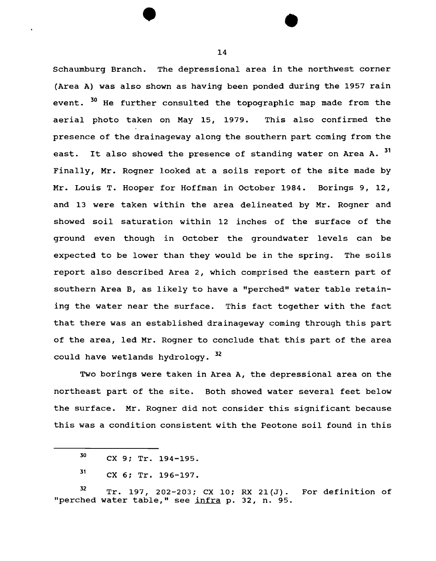Schaumburg Branch. The depressional area in the northwest corner (Area A) was also shown as having been ponded during the 1957 rain event. <sup>30</sup> He further consulted the topographic map made from the aerial photo taken on May 15, 1979. This also confirmed the presence of the drainageway along the southern part coming from the east. It also showed the presence of standing water on Area A. 31 Finally, Mr. Rogner looked at a soils report of the site made by Mr. Louis T. Hooper for Hoffman in October 1984. Borings 9, 12, and 13 were taken within the area delineated by Mr. Rogner and showed soil saturation within 12 inches of the surface of the ground even though in October the groundwater levels can be expected to be lower than they would be in the spring. The soils report also described Area 2, which comprised the eastern part of southern Area B, as likely to have a "perched" water table retaining the water near the surface. This fact together with the fact that there was an established drainageway coming through this part of the area, led Mr. Rogner to conclude that this part of the area could have wetlands hydrology. 32

Two borings were taken in Area A, the depressional area on the northeast part of the site. Both showed water several feet below the surface. Mr. Rogner did not consider this significant because this was a condition consistent with the Peotone soil found in this

 $32$  Tr. 197, 202-203; CX 10; RX 21(J). "perched water table," see infra p. 32, n. 95. For definition of

 $30$  CX 9; Tr. 194-195.

 $31$  CX 6; Tr. 196-197.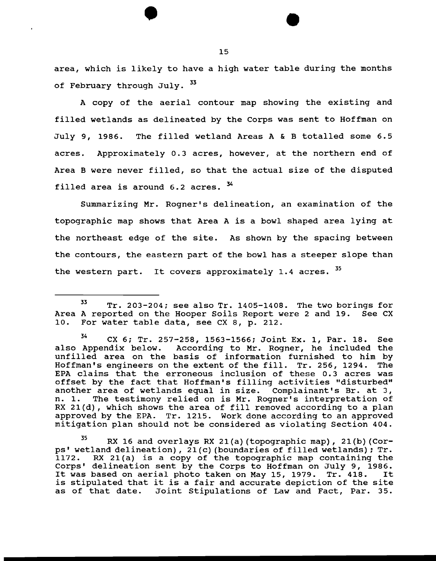area, which is likely to have a high water table during the months of February through July. 33

A copy of the aerial contour map showing the existing and filled wetlands as delineated by the Corps was sent to Hoffman on July 9, 1986. The filled wetland Areas A & B totalled some 6.5 acres. Approximately 0.3 acres, however, at the northern end of Area B were never filled, so that the actual size of the disputed filled area is around  $6.2$  acres.  $34$ 

Summarizing Mr. Regner's delineation, an examination of the topographic map shows that Area A is a bowl shaped area lying at the northeast edge of the site. As shown by the spacing between the contours, the eastern part of the bowl has a steeper slope than the western part. It covers approximately 1.4 acres. 35

<sup>33</sup> Tr. 203-204; see also Tr. 1405-1408. The two borings for Area A reported on the Hooper Soils Report were 2 and 19. See CX<br>10. For water table data, see CX 8, p. 212. For water table data, see CX 8, p. 212.

<sup>34</sup> CX 6; Tr. 257-258, 1563-1566; Joint Ex. 1, Par. 18. See also Appendix below. According to Mr. Rogner, he included the unfilled area on the basis of information furnished to him by Hoffman's engineers on the extent of the fill. Tr. 256, 1294. The EPA claims that the erroneous inclusion of these 0. 3 acres was offset by the fact that Hoffman's filling activities "disturbed" another area of wetlands equal in size. Complainant's Br. at 3, n. 1. The testimony relied on is Mr. Rogner's interpretation of The testimony relied on is Mr. Rogner's interpretation of RX 21(d), which shows the area of fill removed according to a plan approved by the EPA. Tr. 1215. Work done according to an approved mitigation plan should not be considered as violating Section 404.

 $35$  RX 16 and overlays RX 21(a) (topographic map), 21(b) (Corps' wetland delineation), 21 (c) (boundaries of filled wetlands); Tr. 1172. RX 21(a) is a copy of the topographic map containing the Corps' delineation sent by the Corps to Hoffman on July 9, 1986. It was based on aerial photo taken on May 15, 1979. Tr. 418. is stipulated that it is a fair and accurate depiction of the site as of that date. Joint Stipulations of Law and Fact, Par. 35.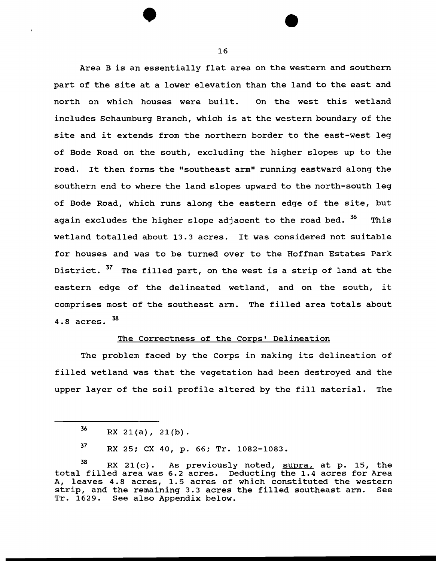Area B is an essentially flat area on the western and southern part of the site at a lower elevation than the land to the east and north on which houses were built. On the west this wetland includes Schaumburg Branch, which is at the western boundary of the site and it extends from the northern border to the east-west leg of Bode Road on the south, excluding the higher slopes up to the road. It then forms the "southeast arm" running eastward along the southern end to where the land slopes upward to the north-south leg of Bode Road, which runs along the eastern edge of the site, but again excludes the higher slope adjacent to the road bed. <sup>36</sup> This wetland totalled about 13.3 acres. It was considered not suitable for houses and was to be turned over to the Hoffman Estates Park District.  $37$  The filled part, on the west is a strip of land at the eastern edge of the delineated wetland, and on the south, it comprises most of the southeast arm. The filled area totals about 4.8 acres. 38

# The Correctness of the Corps' Delineation

The problem faced by the Corps in making its delineation of filled wetland was that the vegetation had been destroyed and the upper layer of the soil profile altered by the fill material. The

 $36$  RX 21(a), 21(b).

 $37$  RX 25; CX 40, p. 66; Tr. 1082-1083.

 $38$  RX 21(c). As previously noted, supra, at p. 15, the total filled area was 6.2 acres. Deducting the 1.4 acres for Area A, leaves 4.8 acres, 1.5 acres of which constituted the western strip, and the remaining 3.3 acres the filled southeast arm. See Tr. 1629. See also Appendix below.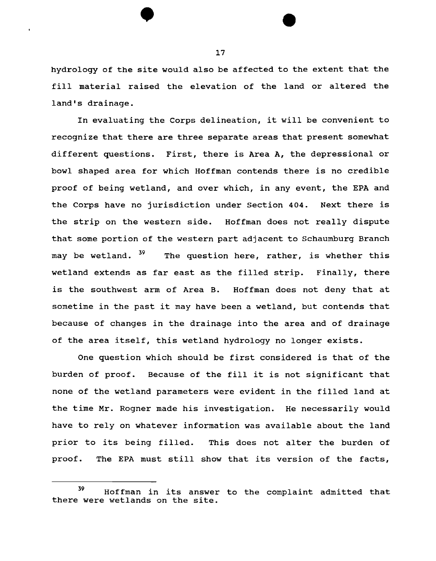hydrology of the site would also be affected to the extent that the fill material raised the elevation of the land or altered the land's drainage.

In evaluating the Corps delineation, it will be convenient to recognize that there are three separate areas that present somewhat different questions. First, there is Area A, the depressional or bowl shaped area for which Hoffman contends there is no credible proof of being wetland, and over which, in any event, the EPA and the Corps have no jurisdiction under Section 404. Next there is the strip on the western side. Hoffman does not really dispute that some portion of the western part adjacent to Schaumburg Branch may be wetland. <sup>39</sup> The question here, rather, is whether this wetland extends as far east as the filled strip. Finally, there is the southwest arm of Area B. Hoffman does not deny that at sometime in the past it may have been a wetland, but contends that because of changes in the drainage into the area and of drainage of the area itself, this wetland hydrology no longer exists.

One question which should be first considered is that of the burden of proof. Because of the fill it is not significant that none of the wetland parameters were evident in the filled land at the time Mr. Regner made his investigation. He necessarily would have to rely on whatever information was available about the land prior to its being filled. This does not alter the burden of proof. The EPA must still show that its version of the facts,

<sup>39</sup> Hoffman in its answer to the complaint admitted that there were wetlands on the site.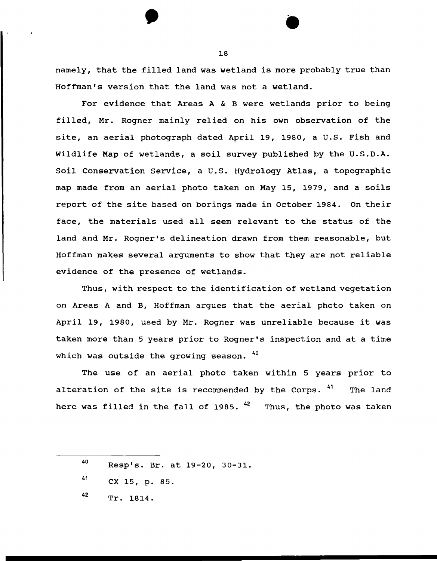namely, that the filled land was wetland is more probably true than Hoffman's version that the land was not a wetland.

For evidence that Areas A & B were wetlands prior to being filled, Mr. Rogner mainly relied on his own observation of the site, an aerial photograph dated April 19, 1980, a U.S. Fish and Wildlife Map of wetlands, a soil survey published by the U.S.D.A. Soil Conservation Service, a U.S. Hydrology Atlas, a topographic map made from an aerial photo taken on May 15, 1979, and a soils report of the site based on borings made in October 1984. On their face, the materials used all seem relevant to the status of the land and Mr. Regner's delineation drawn from them reasonable, but Hoffman makes several arguments to show that they are not reliable evidence of the presence of wetlands.

Thus, with respect to the identification of wetland vegetation on Areas A and B, Hoffman argues that the aerial photo taken on April 19, 1980, used by Mr. Rogner was unreliable because it was taken more than 5 years prior to Rogner's inspection and at a time which was outside the growing season. 40

The use of an aerial photo taken within 5 years prior to alteration of the site is recommended by the Corps. <sup>41</sup> The land here was filled in the fall of 1985.  $42$  Thus, the photo was taken

42 Tr. 1814.

 $\bullet$ 18

<sup>40</sup>  Resp's. Br. at 19-20, 30-31.

<sup>41</sup>  ex 15, p. 85.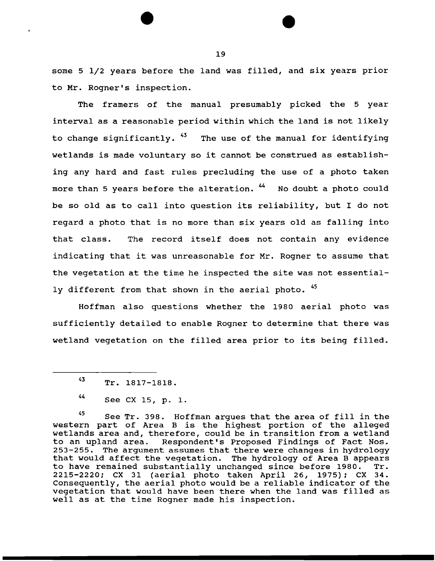some 5 1/2 years before the land was filled, and six years prior to Mr. Regner's inspection.

The framers of the manual presumably picked the 5 year interval as a reasonable period within which the land is not likely to change significantly. "<sup>3</sup> The use of the manual for identifying wetlands is made voluntary so it cannot be construed as establishing any hard and fast rules precluding the use of a photo taken more than 5 years before the alteration. <sup>44</sup> No doubt a photo could be so old as to call into question its reliability, but I do not regard a photo that is no more than six years old as falling into that class. The record itself does not contain any evidence indicating that it was unreasonable for Mr. Rogner to assume that the vegetation at the time he inspected the site was not essentially different from that shown in the aerial photo. <sup>45</sup>

Hoffman also questions whether the 1980 aerial photo was sufficiently detailed to enable Rogner to determine that there was wetland vegetation on the filled area prior to its being filled.

45 See Tr. 398. Hoffman argues that the area of fill in the western part of Area B is the highest portion of the alleged wetlands area and, therefore, could be in transition from a wetland<br>to an upland area. Respondent's Proposed Findings of Fact Nos. Respondent's Proposed Findings of Fact Nos. 253-255. The argument assumes that there were changes in hydrology that would affect the vegetation. The hydrology of Area B appears to have remained substantially unchanged since before 1980. 2215-2220; CX 31 (aerial photo taken April 26, 1975); CX 34. zis zizo, on 31 (acrial photo caken April 20, 1979), on 34.<br>Consequently, the aerial photo would be a reliable indicator of the vegetation that would have been there when the land was filled as well as at the time Rogner made his inspection.

<sup>43</sup> Tr. 1817-1818.

<sup>44</sup> See CX 15, p. 1.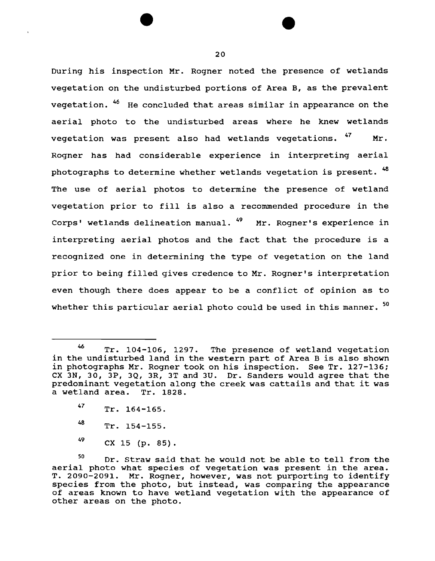During his inspection Mr. Regner noted the presence of wetlands vegetation on the undisturbed portions of Area B, as the prevalent vegetation. <sup>46</sup> He concluded that areas similar in appearance on the aerial photo to the undisturbed areas where he knew wetlands vegetation was present also had wetlands vegetations.  $47$  Mr. Regner has had considerable experience in interpreting aerial photographs to determine whether wetlands vegetation is present.  $^{48}$ The use of aerial photos to determine the presence of wetland vegetation prior to fill is also a recommended procedure in the Corps' wetlands delineation manual.  $^{49}$  Mr. Rogner's experience in interpreting aerial photos and the fact that the procedure is a recognized one in determining the type of vegetation on the land prior to being filled gives credence to Mr. Regner's interpretation even though there does appear to be a conflict of opinion as to whether this particular aerial photo could be used in this manner. <sup>50</sup>

 $^{49}$  CX 15 (p. 85).

<sup>46</sup> Tr. 104-106, 1297. The presence of wetland vegetation in the undisturbed land in the western part of Area B is also shown in photographs Mr. Rogner took on his inspection. See Tr. 127-136; ex JN, 30, JP, JQ, 3R, 3T and 3U. Dr. Sanders would agree that the predominant vegetation along the creek was cattails and that it was a wetland area. Tr. 1828.

<sup>47</sup> Tr. 164-165.

<sup>48</sup> Tr. 154-155.

<sup>50</sup> Dr. Straw said that he would not be able to tell from the aerial photo what species of vegetation was present in the area. T. 2090-2091. Mr. Rogner, however, was not purporting to identify species from the photo, but instead, was comparing the appearance of areas known to have wetland vegetation with the appearance of other areas on the photo.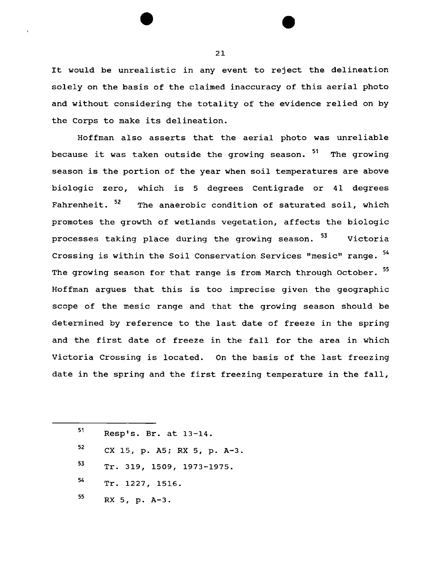It would be unrealistic in any event to reject the delineation solely on the basis of the claimed inaccuracy of this aerial photo and without considering the totality of the evidence relied on by the Corps to make its delineation.

Hoffman also asserts that the aerial photo was unreliable because it was taken outside the growing season. <sup>51</sup> The growing season is the portion of the year when soil temperatures are above biologic zero, which is 5 degrees Centigrade or 41 degrees Fahrenheit. <sup>52</sup> The anaerobic condition of saturated soil, which promotes the growth of wetlands vegetation, affects the biologic processes taking place during the growing season. <sup>53</sup> Victoria Crossing is within the Soil Conservation Services "mesic" range. 54 The growing season for that range is from March through October. 55 Hoffman argues that this is too imprecise given the geographic scope of the mesic range and that the growing season should be determined by reference to the last date of freeze in the spring and the first date of freeze in the fall for the area in which Victoria Crossing is located. On the basis of the last freezing date in the spring and the first freezing temperature in the fall,

51 52 53 54 55 Resp's. Br. at 13-14. CX 15, p. A5; RX 5, p. A-3. Tr. 319, 1509, 1973-1975. Tr. 1227, 1516. RX 5, p. A-3.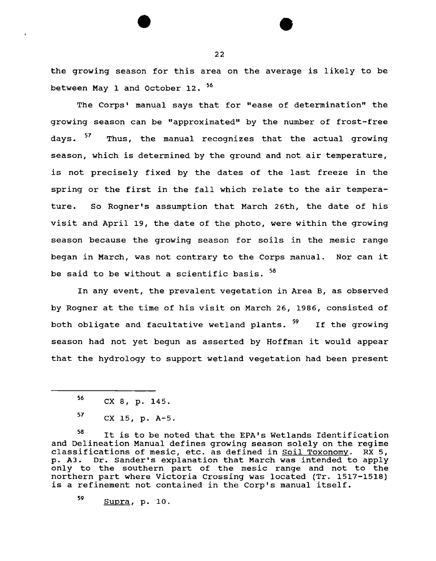the growing season for this area on the average is likely to be between May 1 and October 12. 56

The Corps' manual says that for "ease of determination" the growing season can be "approximated" by the number of frost-free days. <sup>3</sup>' Thus, the manual recognizes that the actual growing season, which is determined by the ground and not air temperature, is not precisely fixed by the dates of the last freeze in the spring or the first in the fall which relate to the air temperature. So Rogner's assumption that March 26th, the date of his visit and April 19, the date of the photo, were within the growing season because the growing season for soils in the mesic range began in March, was not contrary to the Corps manual. Nor can it be said to be without a scientific basis. 58

In any event, the prevalent vegetation in Area B, as observed by Rogner at the time of his visit on March 26, 1986, consisted of both obligate and facultative wetland plants. <sup>59</sup> If the growing season had not yet begun as asserted by Hoffman it would appear that the hydrology to support wetland vegetation had been present

58 It is to be noted that the EPA's Wetlands Identification and Delineation Manual defines growing season solely on the regime classifications of mesic, etc. as defined in Soil Toxonomy. RX 5, p. A3. Dr. Sander's explanation that March was intended to apply only to the southern part of the mesic range and not to the northern part where Victoria Crossing was located (Tr. 1517-1518) is a refinement not contained in the Corp's manual itself.

59 Supra, p. 10.

 $56$  CX 8, p. 145.

 $57$  CX 15, p. A-5.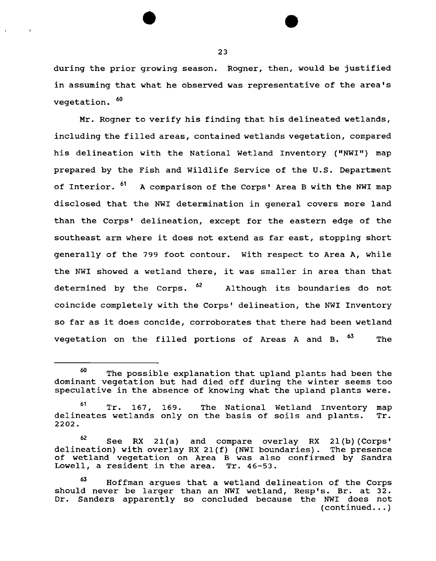during the prior growing season. Rogner, then, would be justified in assuming that what he observed was representative of the area's vegetation. 60

Mr. Rogner to verify his finding that his delineated wetlands, including the filled areas, contained wetlands vegetation, compared his delineation with the National Wetland Inventory ("NWI") map prepared by the Fish and Wildlife Service of the U.S. Department of Interior. <sup>61</sup> A comparison of the Corps' Area B with the NWI map disclosed that the NWI determination in general covers more land than the Corps' delineation, except for the eastern edge of the southeast arm where it does not extend as far east, stopping short generally of the 799 foot contour. With respect to Area A, while the NWI showed a wetland there, it was smaller in area than that determined by the Corps.  $62$  Although its boundaries do not coincide completely with the Corps' delineation, the NWI Inventory so far as it does concide, corroborates that there had been wetland vegetation on the filled portions of Areas A and B.  $^{63}$  The

<sup>&</sup>lt;sup>60</sup> The possible explanation that upland plants had been the dominant vegetation but had died off during the winter seems too speculative in the absence of knowing what the upland plants were.

<sup>&</sup>lt;sup>61</sup> Tr. 167, 169. The National Wetland Inventory delineates wetlands only on the basis of soils and plants. 2202. map Tr.

 $62$  See RX 21(a) and compare overlay RX 21(b) (Corps' delineation) with overlay RX 21(f) (NWI boundaries). The presence of wetland vegetation on Area B was also confirmed by Sandra<br>Lowell, a resident in the area. Tr. 46-53. Lowell, a resident in the area.

<sup>&</sup>lt;sup>63</sup> Hoffman argues that a wetland delineation of the Corps should never be larger than an NWI wetland, Resp's. Br. at 32. Dr. Sanders apparently so concluded because the NWI does not  $(continued... )$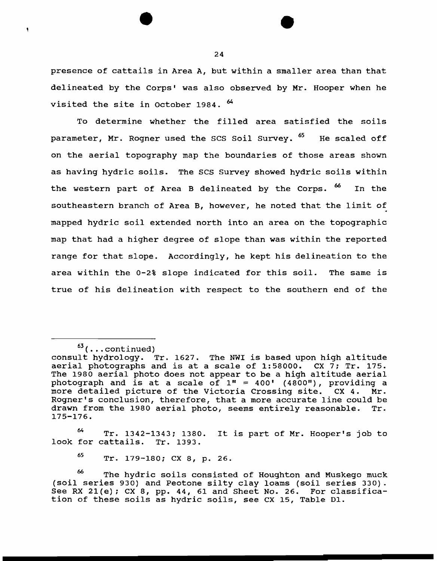presence of cattails in Area A, but within a smaller area than that delineated by the Corps' was also observed by Mr. Hooper when he visited the site in October 1984. <sup>64</sup>

To determine whether the filled area satisfied the soils parameter, Mr. Rogner used the SCS Soil Survey. <sup>65</sup> He scaled off on the aerial topography map the boundaries of those areas shown as having hydric soils. The scs survey showed hydric soils within the western part of Area B delineated by the Corps. <sup>66</sup> In the southeastern branch of Area B, however, he noted that the limit of mapped hydric soil extended north into an area on the topographic map that had a higher degree of slope than was within the reported range for that slope. Accordingly, he kept his delineation to the area within the 0-2% slope indicated for this soil. The same is true of his delineation with respect to the southern end of the

١

<sup>M</sup>Tr. 1342-1343; 13ao. It is part of Mr. Hooper's job to look for cattails. Tr. 1393.

65 Tr. 179-1ao; ex a, p. 26.

 $63$  (... continued)

consult hydrology. Tr. 1627. The NWI is based upon high altitude aerial photographs and is at a scale of 1:58000. CX 7; Tr. 175. The 1980 aerial photo does not appear to be a high altitude aerial photograph and is at a scale of  $1" = 400'$  (4800"), providing a more detailed picture of the Victoria Crossing site. CX 4. Mr. more detailed picture of the Victoria Crossing site. CX 4. Rogner's conclusion, therefore, that a more accurate line could be drawn from the 1980 aerial photo, seems entirely reasonable. Tr. drawn from the 1980 aerial photo, seems entirely reasonable. 175-176.

The hydric soils consisted of Houghton and Muskego muck (soil series 930) and Peotone silty clay loams (soil series 330). See RX 21(e); CX 8, pp. 44, 61 and Sheet No. 26. For classification of these soils as hydric soils, see ex 15, Table D1.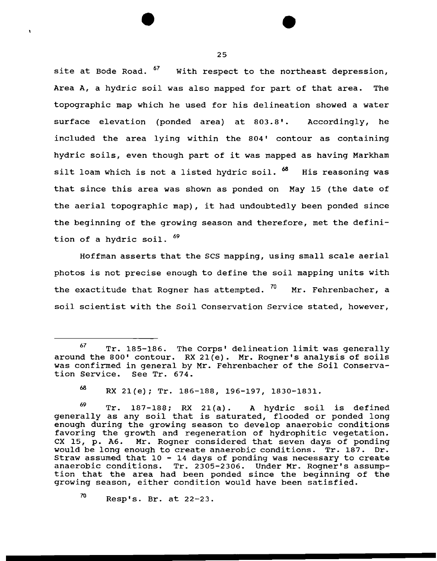site at Bode Road. <sup>6</sup>' With respect to the northeast depression, Area A, a hydric soil was also mapped for part of that area. The topographic map which he used for his delineation showed a water surface elevation (ponded area) at 803.8'. Accordingly, he included the area lying within the 804' contour as containing hydric soils, even though part of it was mapped as having Markham silt loam which is not a listed hydric soil.  $^{68}$  His reasoning was that since this area was shown as ponded on May 15 (the date of the aerial topographic map), it had undoubtedly been ponded since the beginning of the growing season and therefore, met the definition of a hydric soil.  $^{69}$ 

Hoffman asserts that the scs mapping, using small scale aerial photos is not precise enough to define the soil mapping units with the exactitude that Rogner has attempted.  $70$  Mr. Fehrenbacher, a soil scientist with the Soil Conservation Service stated, however,

 $70$  Resp's. Br. at 22-23.

 $67$  Tr. 185-186. The Corps' delineation limit was generally around the 800' contour. RX 21(e). Mr. Regner's analysis of soils was confirmed in general by Mr. Fehrenbacher of the Soil Conserva-<br>tion Service. See Tr. 674. tion Service.

<sup>68</sup> RX 21(e); Tr. 186-188, 196-197, 1830-1831.

 $69$  Tr. 187-188; RX 21(a). A hydric soil is defined generally as any soil that is saturated, flooded or ponded long enough during the growing season to develop anaerobic conditions favoring the growth and regeneration of hydrophitic vegetation. CX 15, p. A6. Mr. Rogner considered that seven days of ponding would be long enough to create anaerobic conditions. Tr. 187. Dr. Straw assumed that  $10 - 14$  days of ponding was necessary to create anaerobic conditions. Tr. 2305-2306. Under Mr. Regner's assumption that the area had been ponded since the beginning of the growing season, either condition would have been satisfied.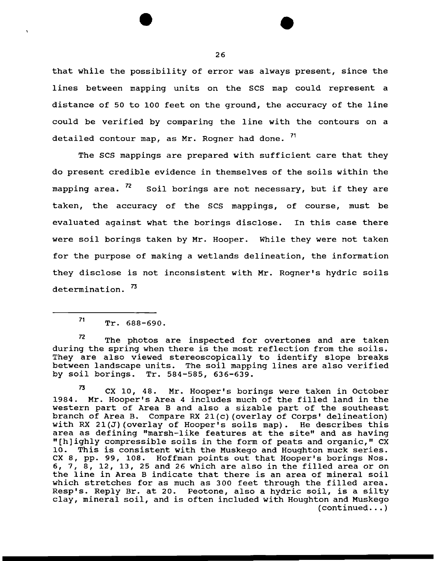that while the possibility of error was always present, since the lines between mapping units on the SCS map could represent a distance of 50 to 100 feet on the ground, the accuracy of the line could be verified by comparing the line with the contours on a detailed contour map, as Mr. Rogner had done. 71

The SCS mappings are prepared with sufficient care that they do present credible evidence in themselves of the soils within the mapping area.  $\frac{r}{2}$  Soil borings are not necessary, but if they are taken, the accuracy of the scs mappings, of course, must be evaluated against what the borings disclose. In this case there were soil borings taken by Mr. Hooper. While they were not taken for the purpose of making a wetlands delineation, the information they disclose is not inconsistent with Mr. Regner's hydric soils determination.<sup>73</sup>

 $72$  The photos are inspected for overtones and are taken during the spring when there is the most reflection from the soils. They are also viewed stereoscopically to identify slope breaks between landscape units. The soil mapping lines are also verified by soil borings. Tr. 584-585, 636-639.

 $73$  CX 10, 48. Mr. Hooper's borings were taken in October 1984. Mr. Hooper's Area 4 includes much of the filled land in the western part of Area B and also a sizable part of the southeast branch of Area B. Compare RX 21(c) (overlay of Corps' delineation) with RX 21(J)(overlay of Hooper's soils map). He describes this area as defining "marsh-like features at the site" and as having "[h]ighly compressible soils in the form of peats and organic," ex 10. This is consistent with the Muskego and Houghton muck series. ex 8, pp. 99, 108. Hoffman points out that Hooper's borings Nos. 6, 7, 8, 12, 13, 25 and 26 which are also in the filled area or on the line in Area B indicate that there is an area of mineral soil which stretches for as much as 300 feet through the filled area. Resp's. Reply Br. at 20. Peotone, also a hydric soil, is a silty clay, mineral soil, and is often included with Houghton and Muskego  $(continued... )$ 

 $71$  Tr. 688-690.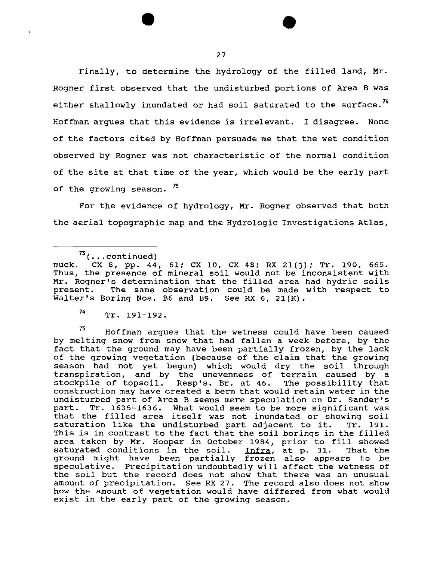Finally, to determine the hydrology of the filled land, Mr. Regner first observed that the undisturbed portions of Area B was either shallowly inundated or had soil saturated to the surface.<sup>74</sup> Hoffman argues that this evidence is irrelevant. I disagree. None of the factors cited by Hoffman persuade me that the wet condition observed by Regner was not characteristic of the normal condition of the site at that time of the year, which would be the early part of the growing season.  $^{75}$ 

For the evidence of hydrology, Mr. Rogner observed that both the aerial topographic map and the Hydrologic Investigations Atlas,

 $\sigma$  Hoffman arques that the wetness could have been caused by melting snow from snow that had fallen a week before, by the fact that the ground may have been partially frozen, by the lack of the growing vegetation (because of the claim that the growing season had not yet begun) which would dry the soil through transpiration, and by the unevenness of terrain caused by a stockpile of topsoil. Resp's. Br. at 46. The possibility that stockpile of topsoil. Resp's. Br. at 46. The possibility that construction may have created a berm that would retain water in the undisturbed part of Area B seems mere speculation on Dr. Sander's part. Tr. 1635-1636. What would seem to be more significant was part: 11. 1099-1090. What would seem to be more significant was<br>that the filled area itself was not inundated or showing soil saturation like the undisturbed part adjacent to it. Tr. 191. This is in contrast to the fact that the soil borings in the filled This is in contrast to the fact that the soil borings in the filled<br>area taken by Mr. Hooper in October 1984, prior to fill showed area caken by hi. Hooper in occober 1984, prior to fill showed<br>saturated conditions in the soil. <u>Infra</u>, at p. 31. That the saturated conditions in the soil. Infra, at p. 31. That the ground might have been partially frozen also appears to be speculative. Precipitation undoubtedly will affect the wetness of the soil but the record does not show that there was an unusual amount of precipitation. See RX 27. The record also does not show how the amount of vegetation would have differed from what would exist in the early part of the growing season.

 $73$  (...continued)<br>muck. CX 8, pp. 44 muck. ex 8, pp. 44, 61; ex 10, ex 48; RX 2l(j}; Tr. 190, 665. mack: CA S, Pp. 44, SI, CA IS, CA 48, AN 21(), II. 198, 889.<br>Thus, the presence of mineral soil would not be inconsistent with Mr. Regner's determination that the filled area had hydric soils present. The same observation could be made with respect to Walter's Boring Nos. B6 and B9. See RX 6, 21(K).

<sup>74</sup> Tr. 191-192.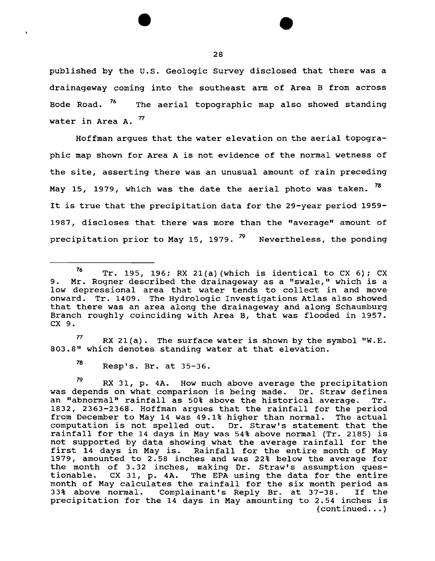published by the u.s. Geologic Survey disclosed that there was a drainageway coming into the southeast arm of Area B from across Bode Road. <sup>'6</sup> The aerial topographic map also showed standing water in Area A. *n* 

Hoffman argues that the water elevation on the aerial topographic map shown for Area A is not evidence of the normal wetness of the site, asserting there was an unusual amount of rain preceding May 15, 1979, which was the date the aerial photo was taken. <sup>78</sup> It is true that the precipitation data for the 29-year period 1959- 1987, discloses that there was more than the "average" amount of precipitation prior to May 15, 1979.  $\frac{79}{1}$  Nevertheless, the ponding

 $77$  RX 21(a). The surface water is shown by the symbol "W.E. 803.8" which denotes standing water at that elevation.

78 Resp's. Br. at 35-36.

79 RX 31, p. 4A. How much above average the precipitation was depends on what comparison is being made. Dr. Straw defines an "abnormal" rainfall as 50% above the historical average. Tr. 1832, 2363-2368. Hoffman argues that the rainfall for the period<br>from December to May 14 was 49.1% higher than normal. The actual from December to May 14 was 49.1% higher than normal. computation is not spelled out. Dr. Straw's statement that the rainfall for the 14 days in May was 54% above normal (Tr. 2185) is not supported by data showing what the average rainfall for the first 14 days in May is. Rainfall for the entire month of May 1979, amounted to 2.58 inches and was 22% below the average for the month of 3. 32 inches, making Dr. Straw's assumption questionable. ex 31, p. 4A. The EPA using the data for the entire month of May calculates the rainfall for the six month period as<br>33% above normal. Complainant's Reply Br. at 37-38. If the 33% above normal. Complainant's Reply Br. at 37-38. precipitation for the 14 days in May amounting to 2.54 inches is  $(continued... )$ 

<sup>&</sup>lt;sup>76</sup> Tr. 195, 196; RX 21(a) (which is identical to CX 6); CX 9. Mr. Regner described the drainageway as a "swale," which is a low depressional area that water tends to collect in and move onward. Tr. 1409. The Hydrologic Investigations Atlas also showed that there was an area along the drainageway and along Schaumburg Branch roughly coinciding with Area B, that was flooded in 1957. ex 9.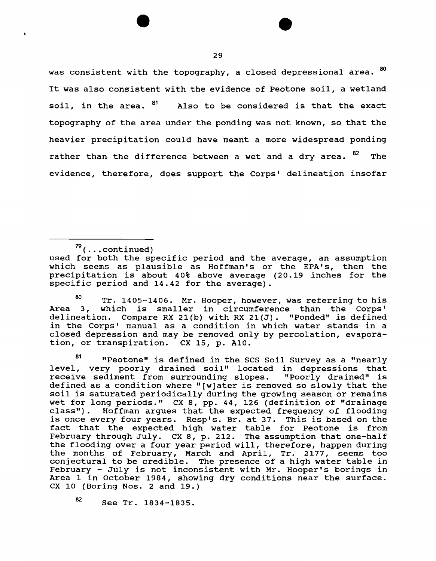was consistent with the topography, a closed depressional area.  $80$ It was also consistent with the evidence of Peotone soil, a wetland soil, in the area.  $81$  Also to be considered is that the exact topography of the area under the pending was not known, so that the heavier precipitation could have meant a more widespread ponding rather than the difference between a wet and a dry area. <sup>82</sup> The evidence, therefore, does support the Corps' delineation insofar

81 Peotone" is defined in the SCS Soil Survey as a "nearly level, very poorly drained soil" located in depressions that<br>receive sediment from surrounding slopes. "Poorly drained" is receive sediment from surrounding slopes. defined as a condition where "[w]ater is removed so slowly that the soil is saturated periodically during the growing season or remains wet for long periods." ex 8, pp. 44, 126 (definition of "drainage class"). Hoffman argues that the expected frequency of flooding is once every four years. Resp's. Br. at 37. This is based on the fact that the expected high water table for Peotone is from February through July. ex 8, p. 212. The assumption that one-half the flooding over a four year period will, therefore, happen during the months of February, March and April, Tr. 2177, seems too conjectural to be credible. The presence of a high water table in February - July is not inconsistent with Mr. Hooper's borings in Area 1 in October 1984, showing dry conditions near the surface. ex 10 (Boring Nos. 2 and 19.)

82 See Tr. 1834-1835.

 $79$  (... continued)

used for both the specific period and the average, an assumption which seems as plausible as Hoffman's or the EPA's, then the precipitation is about 40% above average (20.19 inches for the specific period and 14.42 for the average).

<sup>80</sup> Tr. 1405-1406. Mr. Hooper, however, was referring to his Area 3, which is smaller in circumference than the Corps' delineation. Compare RX 21(b) with RX 21(J). "Ponded" is defined in the Corps' manual as a condition in which water stands in a closed depression and may be removed only by percolation, evaporation, or transpiration. CX 15, p. A10.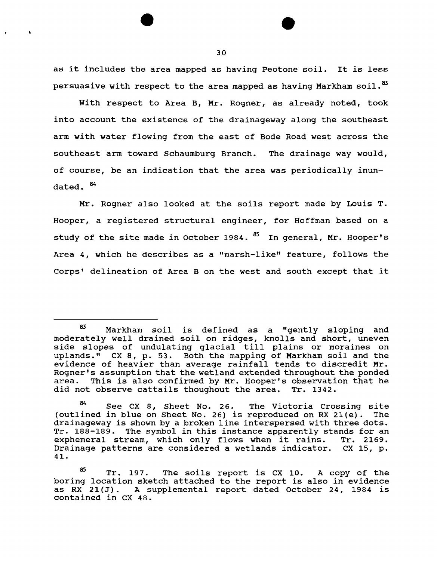as it includes the area mapped as having Peotone soil. It is less persuasive with respect to the area mapped as having Markham soil.<sup>83</sup>

With respect to Area B, Mr. Rogner, as already noted, took into account the existence of the drainageway along the southeast arm with water flowing from the east of Bode Road west across the southeast arm toward Schaumburg Branch. The drainage way would, of course, be an indication that the area was periodically inundated.  $84$ 

Mr. Rogner also looked at the soils report made by Louis T. Hooper, a registered structural engineer, for Hoffman based on a study of the site made in October 1984.  $85$  In general, Mr. Hooper's Area 4, which he describes as a "marsh-like" feature, follows the Corps' delineation of Area B on the west and south except that it

'

<sup>83</sup> Markham soil is defined as a "gently sloping and moderately well drained soil on ridges, knolls and short, uneven side slopes of undulating glacial till plains or moraines on uplands." ex 8, p. 53. Both the mapping of Markham soil and the evidence of heavier than average rainfall tends to discredit Mr. Rogner's assumption that the wetland extended throughout the ponded area. This is also confirmed by Mr. Hooper's observation that he<br>did not observe cattails thoughout the area. Tr. 1342. did not observe cattails thoughout the area.

See CX 8, Sheet No. 26. The Victoria Crossing site (outlined in blue on Sheet No. 26) is reproduced on RX 21(e). The drainageway is shown by a broken line interspersed with three dots. Tr. 188-189. The symbol in this instance apparently stands for an exphemeral stream, which only flows when it rains. Tr. 2169. exphemeral stream, which only flows when it rains. Drainage patterns are considered a wetlands indicator. ex 15, p. 41.

 $85$  Tr. 197. The soils report is CX 10. A copy of the boring location sketch attached to the report is also in evidence as RX 21(J). A supplemental report dated October 24, 1984 is contained in ex 48.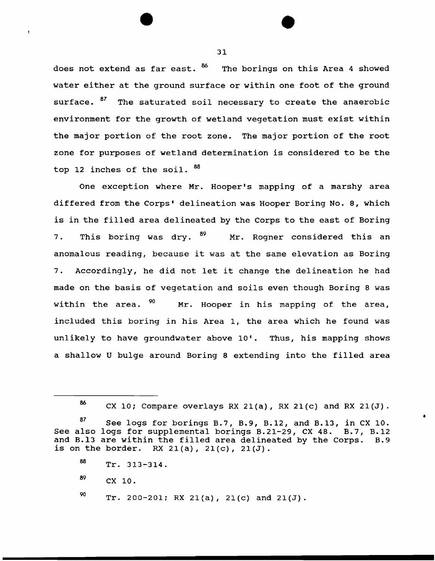does not extend as far east. <sup>86</sup> The borings on this Area 4 showed water either at the ground surface or within one foot of the ground surface. <sup>8</sup><sup>*I*</sup> The saturated soil necessary to create the anaerobic environment for the growth of wetland vegetation must exist within the major portion of the root zone. The major portion of the root zone for purposes of wetland determination is considered to be the top 12 inches of the soil.  $^{88}$ 

One exception where Mr. Hooper's mapping of a marshy area differed from the Corps' delineation was Hooper Boring No. 8, which is in the filled area delineated by the Corps to the east of Boring 7. This boring was dry. <sup>89</sup> Mr. Rogner considered this an anomalous reading, because it was at the same elevation as Boring 7. Accordingly, he did not let it change the delineation he had made on the basis of vegetation and soils even though Boring 8 was within the area.  $90$  Mr. Hooper in his mapping of the area, included this boring in his Area 1, the area which he found was unlikely to have groundwater above 10'. Thus, his mapping shows a shallow U bulge around Boring 8 extending into the filled area

•

<sup>86</sup> CX 10; Compare overlays RX 21(a), RX 21(c) and RX 21(J).

 $87$  See logs for borings B.7, B.9, B.12, and B.13, in CX 10. See also logs for supplemental borings B.21-29, ex 48. B.7, B.12 and B.l3 are within the filled area delineated by the Corps. B.9 is on the border. RX  $21(a)$ ,  $21(c)$ ,  $21(J)$ .

 $^{88}$  Tr. 313-314.

<sup>89</sup> CX 10.

 $90$  Tr. 200-201; RX 21(a), 21(c) and 21(J).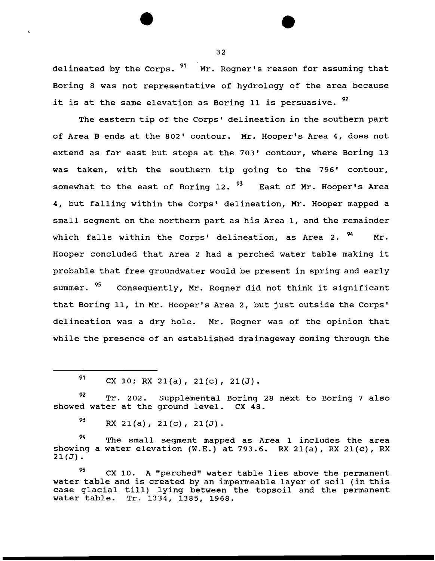delineated by the Corps. <sup>91</sup> Mr. Rogner's reason for assuming that Boring 8 was not representative of hydrology of the area because it is at the same elevation as Boring 11 is persuasive.  $92$ 

The eastern tip of the corps' delineation in the southern part of Area Bends at the 802' contour. Mr. Hooper's Area 4, does not extend as far east but stops at the 703' contour, where Boring 13 was taken, with the southern tip going to the 796' contour, somewhat to the east of Boring 12.  $93$  East of Mr. Hooper's Area 4, but falling within the Corps' delineation, Mr. Hooper mapped a small segment on the northern part as his Area 1, and the remainder which falls within the Corps' delineation, as Area 2.  $94$  Mr. Hooper concluded that Area 2 had a perched water table making it probable that free groundwater would be present in spring and early summer. <sup>95</sup> Consequently, Mr. Rogner did not think it significant that Boring 11, in Mr. Hooper's Area 2, but just outside the Corps' delineation was a dry hole. Mr. Rogner was of the opinion that while the presence of an established drainageway coming through the

 $91$  CX 10; RX 21(a), 21(c), 21(J).

92 Tr. 202. Supplemental Boring 28 next to Boring 7 also showed water at the ground level. ex 48.

 $93$  RX 21(a), 21(c), 21(J).

94 The small segment mapped as Area 1 includes the area showing a water elevation  $(W.E.)$  at 793.6. RX 21(a), RX 21(c), RX  $21(J)$ .

 $95$  CX 10. A "perched" water table lies above the permanent water table and is created by an impermeable layer of soil (in this case glacial till) lying between the topsoil and the permanent water table. Tr. 1334, 1385, 1968.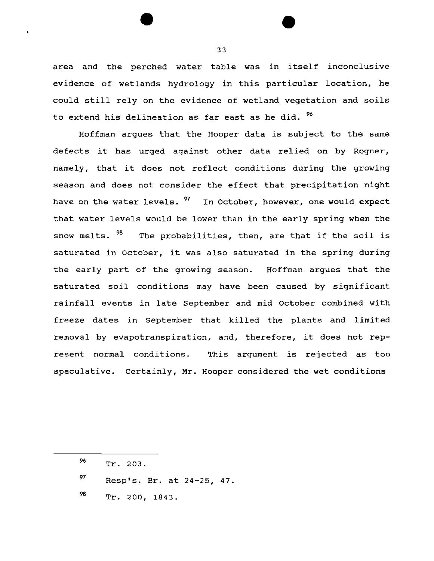area and the perched water table was in itself inconclusive evidence of wetlands hydrology in this particular location, he could still rely on the evidence of wetland vegetation and soils to extend his delineation as far east as he did. <sup>%</sup>

Hoffman argues that the Hooper data is subject to the same defects it has urged against other data relied on by Regner, namely, that it does not reflect conditions during the growing season and does not consider the effect that precipitation might have on the water levels. <sup>97</sup> In October, however, one would expect that water levels would be lower than in the early spring when the snow melts. <sup>98</sup> The probabilities, then, are that if the soil is saturated in October, it was also saturated in the spring during the early part of the growing season. Hoffman argues that the saturated soil conditions may have been caused by significant rainfall events in late September and mid October combined with freeze dates in september that killed the plants and limited removal by evapotranspiration, and, therefore, it does not represent normal conditions. This argument 1s rejected as too speculative. Certainly, Mr. Hooper considered the wet conditions

96 *97*  98 Tr. 203. Resp's. Br. at 24-25, 47. Tr. 200, 1843.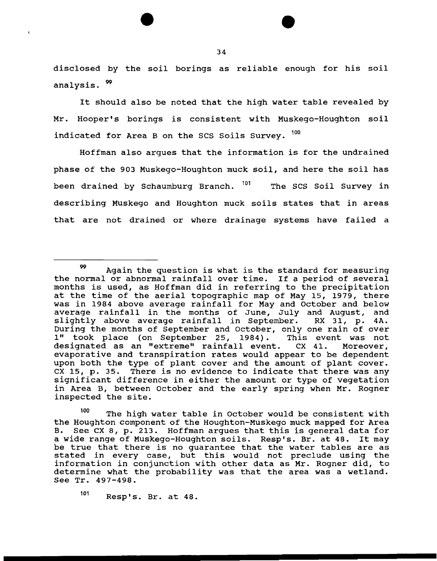disclosed by the soil borings as reliable enough for his soil analysis.  $^{99}$ 

It should also be noted that the high water table revealed by Mr. Hooper's borings is consistent with Muskego-Houghton soil indicated for Area B on the SCS Soils Survey.  $100$ 

Hoffman also argues that the information is for the undrained phase of the 903 Muskego-Houghton muck soil, and here the soil has been drained by Schaumburg Branch. <sup>101</sup> The SCS Soil Survey in describing Muskego and Houghton muck soils states that in areas that are not drained or where drainage systems have failed a

100 The high water table in October would be consistent with the Houghton component of the Houghton-Muskego muck mapped for Area<br>B. See CX 8, p. 213. Hoffman arques that this is general data for See CX 8, p. 213. Hoffman argues that this is general data for a wide range of Muskego-Houghton soils. Resp's. Br. at 48. It may be true that there is no guarantee that the water tables are as stated in every case, but this would not preclude using the information in conjunction with other data as Mr. Regner did, to determine what the probability was that the area was a wetland. See Tr. 497-498.

101 Resp's. Br. at 48.

<sup>99</sup> Again the question is what is the standard for measuring the normal or abnormal rainfall over time. If a period of several months is used, as Hoffman did in referring to the precipitation at the time of the aerial topographic map of May 15, 1979, there was in 1984 above average rainfall for May and October and below average rainfall in the months of June, July and August, and<br>slightly above average rainfall in September. RX 31, p. 4A. slightly above average rainfall in September. During the months of September and October, only one rain of over<br>1" took place (on September 25, 1984). This event was not 1" took place (on September 25, 1984). designated as an "extreme" rainfall event. ex 41. Moreover, evaporative and transpiration rates would appear to be dependent upon both the type of plant cover and the amount of plant cover. ex 15, p. 35. There is no evidence to indicate that there was any significant difference in either the amount or type of vegetation in Area B, between October and the early spring when Mr. Rogner inspected the site.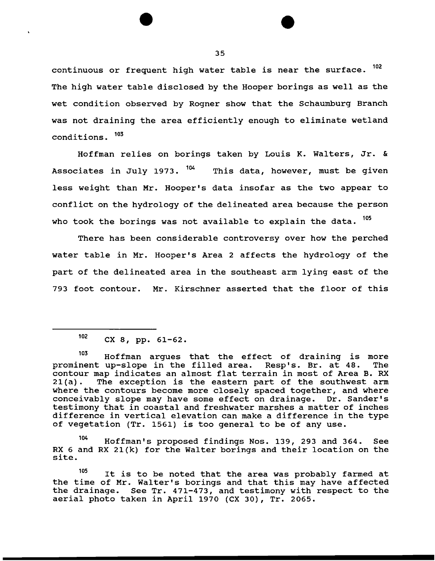continuous or frequent high water table is near the surface. <sup>102</sup> The high water table disclosed by the Hooper borings as well as the wet condition observed by Regner show that the Schaumburg Branch was not draining the area efficiently enough to eliminate wetland conditions. 103

Hoffman relies on borings taken by Louis K. Walters, Jr. & Associates in July 1973.  $104$  This data, however, must be given less weight than Mr. Hooper's data insofar as the two appear to conflict on the hydrology of the delineated area because the person who took the borings was not available to explain the data.  $105$ 

There has been considerable controversy over how the perched water table in Mr. Hooper's Area 2 affects the hydrology of the part of the delineated area in the southeast arm lying east of the 793 foot contour. Mr. Kirschner asserted that the floor of this

104 Hoffman's proposed findings Nos. 139, 293 and 364. See RX 6 and RX 21(k) for the Walter borings and their location on the site.

105 It is to be noted that the area was probably farmed at the time of Mr. Walter's borings and that this may have affected the drainage. See Tr. 471-473, and testimony with respect to the aerial photo taken in April 1970 (CX 30), Tr. 2065.

 $102$  CX 8, pp. 61-62.

<sup>&</sup>lt;sup>103</sup> Hoffman argues that the effect of draining is more<br>nent up-slope in the filled area. Resp's. Br. at 48. The prominent up-slope in the filled area. Resp's. Br. at 48. contour map indicates an almost flat terrain in most of Area B. RX<br>21(a). The exception is the eastern part of the southwest arm The exception is the eastern part of the southwest arm where the contours become more closely spaced together, and where conceivably slope may have some effect on drainage. Dr. Sander's testimony that in coastal and freshwater marshes a matter of inches difference in vertical elevation can make a difference in the type of vegetation (Tr. 1561) is too general to be of any use.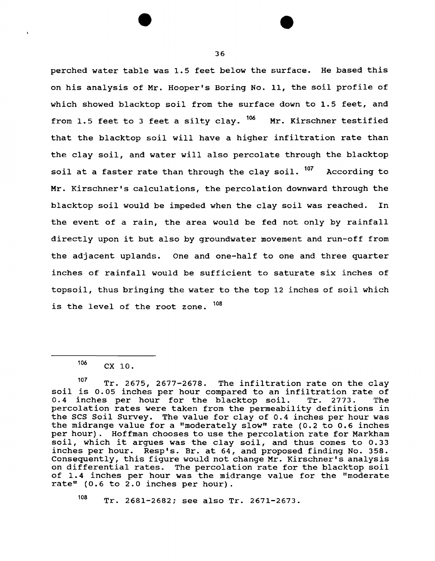perched water table was 1.5 feet below the surface. He based this on his analysis of Mr. Hooper's Boring No. 11, the soil profile of which showed blacktop soil from the surface down to 1.5 feet, and from 1.5 feet to 3 feet a silty clay.  $106$  Mr. Kirschner testified that the blacktop soil will have a higher infiltration rate than the clay soil, and water will also percolate through the blacktop soil at a faster rate than through the clay soil. <sup>107</sup> According to Mr. Kirschner's calculations, the percolation downward through the blacktop soil would be impeded when the clay soil was reached. In the event of a rain, the area would be fed not only by rainfall directly upon it but also by groundwater movement and run-off from the adjacent uplands. One and one-half to one and three quarter inches of rainfall would be sufficient to saturate six inches of topsoil, thus bringing the water to the top 12 inches of soil which is the level of the root zone.  $^{108}$ 

108 Tr. 2681-2682; see also Tr. 2671-2673.

 $106$  CX 10.

 $107$  Tr. 2675, 2677-2678. The infiltration rate on the clay soil is 0.05 inches per hour compared to an infiltration rate of 0.4 inches per hour for the blacktop soil. Tr. 2773. The 0.4 inches per hour for the blacktop soil. percolation rates were taken from the permeability definitions in the SCS Soil Survey. The value for clay of 0.4 inches per hour was the midrange value for a "moderately slow" rate (0.2 to 0.6 inches per hour) . Hoffman chooses to use the percolation rate for Markham soil, which it argues was the clay soil, and thus comes to 0.33 inches per hour. Resp's. Br. at 64, and proposed finding No. 358. Consequently, this figure would not change Mr. Kirschner's analysis on differential rates. The percolation rate for the blacktop soil of 1.4 inches per hour was the midrange value for the "moderate rate" (0.6 to 2.0 inches per hour).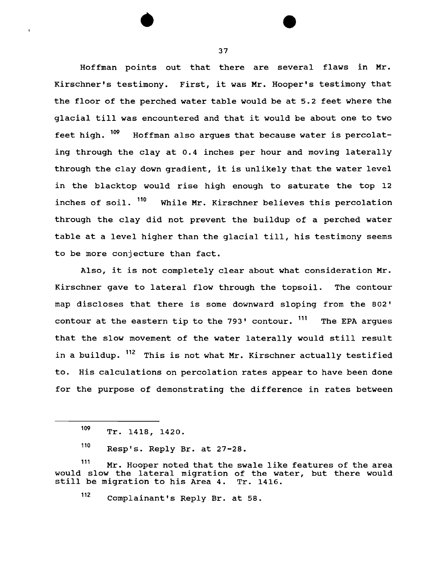Hoffman points out that there are several flaws in Mr. Kirschner's testimony. First, it was Mr. Hooper's testimony that the floor of the perched water table would be at 5.2 feet where the glacial till was encountered and that it would be about one to two feet high. <sup>109</sup> Hoffman also argues that because water is percolating through the clay at 0.4 inches per hour and moving laterally through the clay down gradient, it is unlikely that the water level in the blacktop would rise high enough to saturate the top 12 inches of soil. <sup>110</sup> While Mr. Kirschner believes this percolation through the clay did not prevent the buildup of a perched water table at a level higher than the glacial till, his testimony seems to be more conjecture than fact.

Also, it is not completely clear about what consideration Mr. Kirschner gave to lateral flow through the topsoil. The contour map discloses that there is some downward sloping from the 802' contour at the eastern tip to the 793' contour.  $111$  The EPA argues that the slow movement of the water laterally would still result in a buildup. <sup>112</sup> This is not what Mr. Kirschner actually testified to. His calculations on percolation rates appear to have been done for the purpose of demonstrating the difference in rates between

<sup>109</sup> Tr. 1418, 1420.

<sup>110</sup> Resp's. Reply Br. at 27-28.

<sup>111</sup> Mr. Hooper noted that the swale like features of the area would slow the lateral migration of the water, but there would<br>still be migration to his Area 4. Tr. 1416. still be migration to his Area 4.

<sup>112</sup> Complainant's Reply Br. at 58.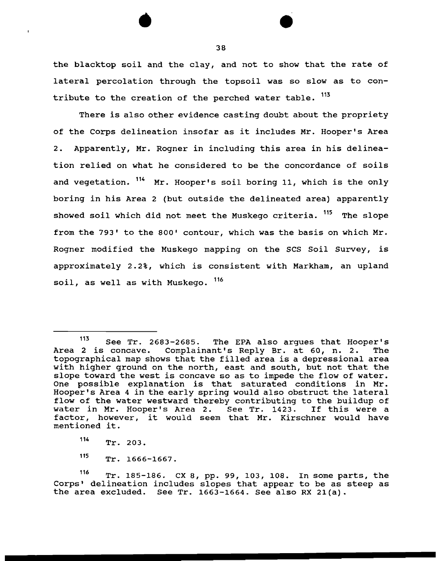the blacktop soil and the clay, and not to show that the rate of lateral percolation through the topsoil was so slow as to contribute to the creation of the perched water table. <sup>113</sup>

There is also other evidence casting doubt about the propriety of the Corps delineation insofar as it includes Mr. Hooper's Area 2. Apparently, Mr. Rogner in including this area in his delineation relied on what he considered to be the concordance of soils and vegetation. <sup>114</sup> Mr. Hooper's soil boring 11, which is the only boring in his Area 2 (but outside the delineated area) apparently showed soil which did not meet the Muskego criteria. <sup>115</sup> The slope from the 793' to the 800' contour, which was the basis on which Mr. Rogner modified the Muskego mapping on the SCS Soil Survey, is approximately 2.2%, which is consistent with Markham, an upland soil, as well as with Muskego. 116

 $113$  See Tr. 2683-2685. The EPA also argues that Hooper's Area 2 is concave. Complainant's Reply Br. at 60, n. 2. The topographical map shows that the filled area is a depressional area with higher ground on the north, east and south, but not that the slope toward the west is concave so as to impede the flow of water. One possible explanation is that saturated conditions in Mr. Hooper's Area 4 in the early spring would also obstruct the lateral flow of the water westward thereby contributing to the buildup of water in Mr. Hooper's Area 2. See Tr. 1423. If this were a water in Mr. Hooper's Area 2. See Tr. 1423. factor, however, it would seem that Mr. Kirschner would have mentioned it.

 $114$  Tr. 203.

<sup>115</sup> Tr. 1666-1667.

<sup>116</sup> Tr. 185-186. CX 8, pp. 99, 103, 108. In some parts, the Corps' delineation includes slopes that appear to be as steep as the area excluded. See Tr. 1663-1664. See also RX 21(a).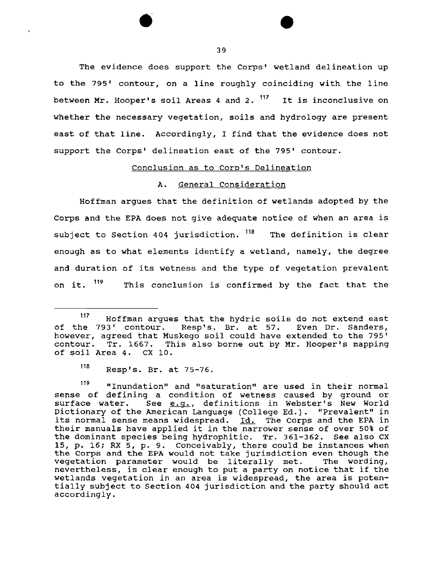The evidence does support the Corps' wetland delineation up to the 795' contour, on a line roughly coinciding with the line between Mr. Hooper's soil Areas 4 and 2.  $117$  It is inconclusive on whether the necessary vegetation, soils and hydrology are present east of that line. Accordingly, I find that the evidence does not support the Corps' delineation east of the 795' contour.

# Conclusion as to Corp's Delineation

# A. General Consideration

Hoffman argues that the definition of wetlands adopted by the Corps and the EPA does not give adequate notice of when an area is subject to Section 404 jurisdiction. <sup>118</sup> The definition is clear enough as to what elements identify a wetland, namely, the degree and duration of its wetness and the type of vegetation prevalent on it. <sup>119</sup> This conclusion is confirmed by the fact that the

<sup>117</sup> Hoffman argues that the hydric soils do not extend east of the 793' contour. Resp's. Br. at 57. Even Dr. Sanders, however, agreed that Muskego soil could have extended to the 795' contour. Tr. 1667. This also borne out by Mr. Hooper's mapping of soil Area 4. ex 10.

<sup>118</sup> Resp's. Br. at 75-76.

<sup>119 &</sup>quot;Inundation" and "saturation" are used in their normal sense of defining a condition of wetness caused by ground or<br>surface water. See e.g., definitions in Webster's New World See e.g., definitions in Webster's New World Dictionary of the American Language (College Ed.). "Prevalent" in its normal sense means widespread. Id. The Corps and the EPA in their manuals have applied it in the narrower sense of over 50% of the dominant species being hydrophitic. Tr. 361-362. See also CX 15, p. 16; RX 5, p. 9. conceivably, there could be instances when the Corps and the EPA would not take jurisdiction even though the vegetation parameter would be literally met. The wording, vegetation parameter would be literally met. nevertheless, is clear enough to put a party on notice that if the wetlands vegetation in an area is widespread, the area is potentially subject to Section 404 jurisdiction and the party should act accordingly.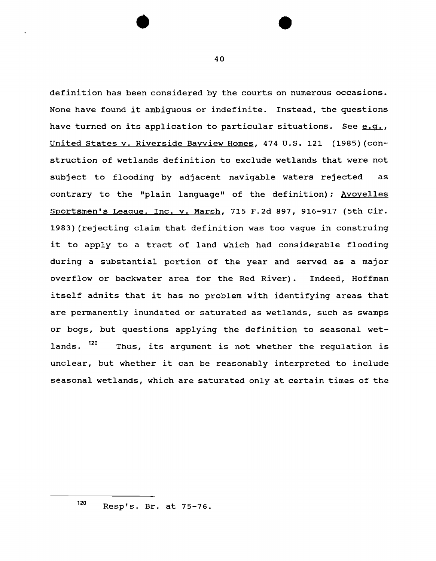definition has been considered by the courts on numerous occasions. None have found it ambiguous or indefinite. Instead, the questions have turned on its application to particular situations. See  $e,q,$ United States v. Riverside Bayview Homes, 474 U.S. 121 (1985) (construction of wetlands definition to exclude wetlands that were not subject to flooding by adjacent navigable waters rejected as contrary to the "plain language" of the definition); Avoyelles Sportsmen's League, Inc. v. Marsh, 715 F.2d 897, 916-917 (5th Cir. 1983) (rejecting claim that definition was too vague in construing it to apply to a tract of land which had considerable flooding during a substantial portion of the year and served as a major overflow or backwater area for the Red River). Indeed, Hoffman itself admits that it has no problem with identifying areas that are permanently inundated or saturated as wetlands, such as swamps or bogs, but questions applying the definition to seasonal wetlands. <sup>120</sup> Thus, its argument is not whether the regulation is unclear, but whether it can be reasonably interpreted to include seasonal wetlands, which are saturated only at certain times of the

40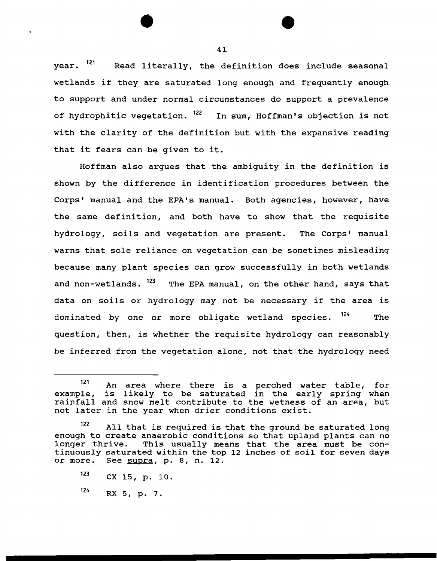year. <sup>121</sup> Read literally, the definition does include seasonal wetlands if they are saturated long enough and frequently enough to support and under normal circumstances do support a prevalence of hydrophitic vegetation.  $^{122}$  In sum, Hoffman's objection is not with the clarity of the definition but with the expansive reading that it fears can be given to it.

Hoffman also argues that the ambiguity in the definition is shown by the difference in identification procedures between the Corps' manual and the EPA's manual. Both agencies, however, have the same definition, and both have to show that the requisite hydrology, soils and vegetation are present. The Corps' manual warns that sole reliance on vegetation can be sometimes misleading because many plant species can grow successfully in both wetlands and non-wetlands. <sup>123</sup> The EPA manual, on the other hand, says that data on soils or hydrology may not be necessary if the area is dominated by one or more obligate wetland species. <sup>124</sup> The question, then, is whether the requisite hydrology can reasonably be inferred from the vegetation alone, not that the hydrology need

<sup>&</sup>lt;sup>121</sup> An area where there is a perched water example, enampic, is finity to be sucurated in the early spring when not later in the year when drier conditions exist. likely to be saturated in the early table, for spring when

<sup>122</sup> All that is required is that the ground be saturated long enough to create anaerobic conditions so that upland plants can no<br>longer thrive. This usually means that the area must be con-This usually means that the area must be continuously saturated within the top 12 inches of soil for seven days or more. See supra, p. 8, n. 12. See supra, p. 8, n. 12.

 $123$  CX 15, p. 10.

 $124$  RX 5, p. 7.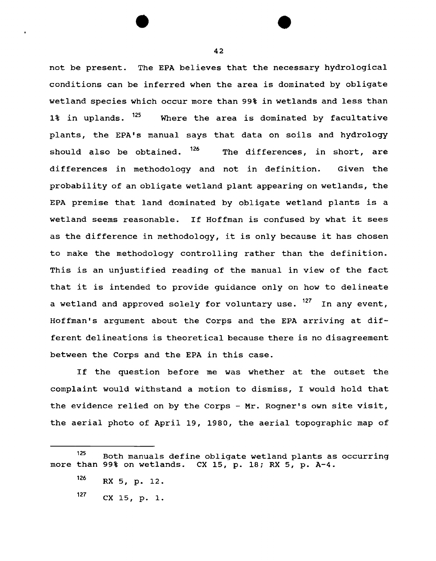not be present. The EPA believes that the necessary hydrological conditions can be inferred when the area is dominated by obligate wetland species which occur more than 99% in wetlands and less than 1% in uplands. <sup>125</sup> Where the area is dominated by facultative plants, the EPA's manual says that data on soils and hydrology should also be obtained.  $126$  The differences, in short, are differences in methodology and not in definition. Given the probability of an obligate wetland plant appearing on wetlands, the EPA premise that land dominated by obligate wetland plants is a wetland seems reasonable. If Hoffman is confused by what it sees as the difference in methodology, it is only because it has chosen to make the methodology controlling rather than the definition. This is an unjustified reading of the manual in view of the fact that it is intended to provide guidance only on how to delineate a wetland and approved solely for voluntary use. <sup>127</sup> In any event, Hoffman's argument about the Corps and the EPA arriving at different delineations is theoretical because there is no disagreement between the Corps and the EPA in this case.

If the question before me was whether at the outset the complaint would withstand a motion to dismiss, I would hold that the evidence relied on by the Corps - Mr. Rogner's own site visit, the aerial photo of April 19, 1980, the aerial topographic map of

<sup>125</sup> Both manuals define obligate wetland plants as occurring more than 99% on wetlands. ex 15, p. 18; RX 5, p. A-4.

<sup>126</sup> RX 5, p. 12.

 $127$  CX 15, p. 1.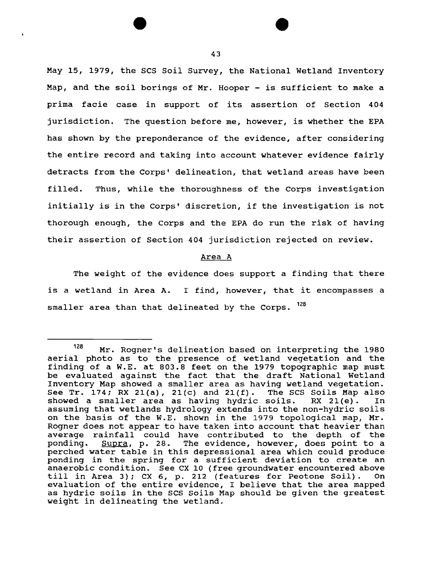May 15, 1979, the SCS Soil Survey, the National Wetland Inventory Map, and the soil borings of Mr. Hooper - is sufficient to make a prima facie case in support of its assertion of Section 404 jurisdiction. The question before me, however, is whether the EPA has shown by the preponderance of the evidence, after considering the entire record and taking into account whatever evidence fairly detracts from the Corps' delineation, that wetland areas have been filled. Thus, while the thoroughness of the Corps investigation initially is in the Corps' discretion, if the investigation is not thorough enough, the Corps and the EPA do run the risk of having their assertion of Section 404 jurisdiction rejected on review.

### Area A

The weight of the evidence does support a finding that there is a wetland in Area A. I find, however, that it encompasses a smaller area than that delineated by the Corps. <sup>128</sup>

<sup>128</sup> Mr. Rogner's delineation based on interpreting the 1980 aerial photo as to the presence of wetland vegetation and the finding of a W.E. at 803.8 feet on the 1979 topographic map must be evaluated against the fact that the draft National Wetland Inventory Map showed a smaller area as having wetland vegetation.<br>See Tr. 174; RX 21(a), 21(c) and 21(f). The SCS Soils Map also See Tr. 174; RX 21(a), 21(c) and 21(f). showed a smaller area as having hydric soils. RX 21(e). In assuming that wetlands hydrology extends into the non-hydric soils on the basis of the W.E. shown in the 1979 topological map, Mr. Regner does not appear to have taken into account that heavier than average rainfall could have contributed to the depth of the<br>ponding. Supra, p. 28. The evidence, however, does point to a  $Supra$ , p. 28. The evidence, however, does point to a perched water table in this depressional area which could produce pending in the spring for a sufficient deviation to create an anaerobic condition. See ex 10 (free groundwater encountered above till in Area 3); CX 6, p. 212 (features for Peotone Soil). On evaluation of the entire evidence, I believe that the area mapped as hydric soils in the scs soils Map should be given the greatest weight in delineating the wetland.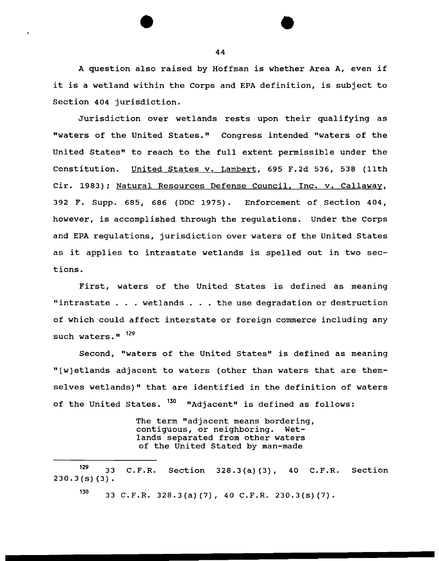A question also raised by Hoffman is whether Area A, even if it is a wetland within the Corps and EPA definition, is subject to Section 404 jurisdiction.

Jurisdiction over wetlands rests upon their qualifying as "waters of the United States." Congress intended "waters of the United States" to reach to the full extent permissible under the Constitution. United States v. Lambert, 695 F.2d 536, 538 (11th Cir. 1983); Natural Resources Defense Council, Inc. v. Callaway, 392 F. Supp. 685, 686 (DDC 1975). Enforcement of Section 404, however, is accomplished through the regulations. Under the Corps and EPA regulations, jurisdiction over waters of the united States as it applies to intrastate wetlands is spelled out in two sections.

First, waters of the United States is defined as meaning "intrastate ... wetlands ... the use degradation or destruction of which could affect interstate or foreign commerce including any such waters."  $129$ 

Second, "waters of the United States" is defined as meaning "[w)etlands adjacent to waters (other than waters that are themselves wetlands)" that are identified in the definition of waters of the United States.  $130$  "Adjacent" is defined as follows:

> The term "adjacent means bordering, contiguous, or neighboring. Wetlands separated from other waters of the United Stated by man-made

 $130$  33 C.F.R. 328.3(a) (7), 40 C.F.R. 230.3(s) (7).

 $129$  33  $230.3(s)(3)$ . C.F.R. Section 328.3{a) {3), 40 C.F.R. Section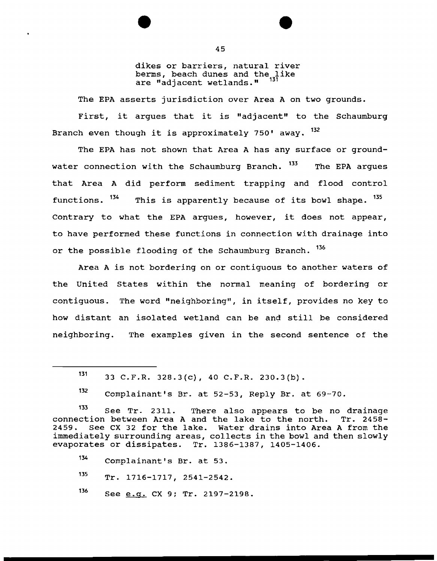dikes or barriers, natural river berms, beach dunes and the like are "adjacent wetlands." <sup>131</sup>

The EPA asserts jurisdiction over Area A on two grounds.

First, it argues that it is "adjacent" to the Schaumburg Branch even though it is approximately 750' away. <sup>132</sup>

The EPA has not shown that Area A has any surface or groundwater connection with the Schaumburg Branch. <sup>133</sup> The EPA arques that Area A did perform sediment trapping and flood control functions.  $134$  This is apparently because of its bowl shape.  $135$ Contrary to what the EPA argues, however, it does not appear, to have performed these functions in connection with drainage into or the possible flooding of the Schaumburg Branch. <sup>136</sup>

Area A is not bordering on or contiguous to another waters of the United States within the normal meaning of bordering or contiguous. The word "neighboring'', in itself, provides no key to how distant an isolated wetland can be and still be considered neighboring. The examples given in the second sentence of the

135 Tr. 1716-1717, 2541-2542.

 $136$  See  $e.g.$  CX 9; Tr. 2197-2198.

 $131$  33 C.F.R. 328.3(c), 40 C.F.R. 230.3(b).

 $132$  Complainant's Br. at 52-53, Reply Br. at 69-70.

<sup>&</sup>lt;sup>133</sup> See Tr. 2311. There also appears to be no drainage<br>ction between Area A and the lake to the north. Tr. 2458connection between Area A and the lake to the north. 2459. See CX 32 for the lake. Water drains into Area A from the immediately surrounding areas, collects in the bowl and then slowly evaporates or dissipates. Tr. 1386-1387, 1405-1406.

<sup>134</sup> Complainant's Br. at 53.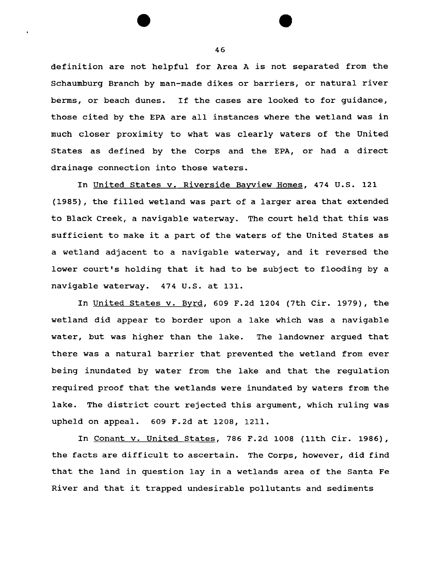definition are not helpful for Area A is not separated from the Schaumburg Branch by man-made dikes or barriers, or natural river berms, or beach dunes. If the cases are looked to for guidance, those cited by the EPA are all instances where the wetland was in much closer proximity to what was clearly waters of the United States as defined by the Corps and the EPA, or had a direct drainage connection into those waters.

In United States v. Riverside Bayview Homes, 474 U.S. 121 (1985), the filled wetland was part of a larger area that extended to Black Creek, a navigable waterway. The court held that this was sufficient to make it a part of the waters of the United States as a wetland adjacent to a navigable waterway, and it reversed the lower court's holding that it had to be subject to flooding by a navigable waterway. 474 U.S. at 131.

In United States v. Byrd, 609 F.2d 1204 (7th Cir. 1979), the wetland did appear to border upon a lake which was a navigable water, but was higher than the lake. The landowner argued that there was a natural barrier that prevented the wetland from ever being inundated by water from the lake and that the regulation required proof that the wetlands were inundated by waters from the lake. The district court rejected this argument, which ruling was upheld on appeal. 609 F.2d at 1208, 1211.

In Conant v. United States, 786 F.2d 1008 (11th Cir. 1986), the facts are difficult to ascertain. The Corps, however, did find that the land in question lay in a wetlands area of the Santa Fe River and that it trapped undesirable pollutants and sediments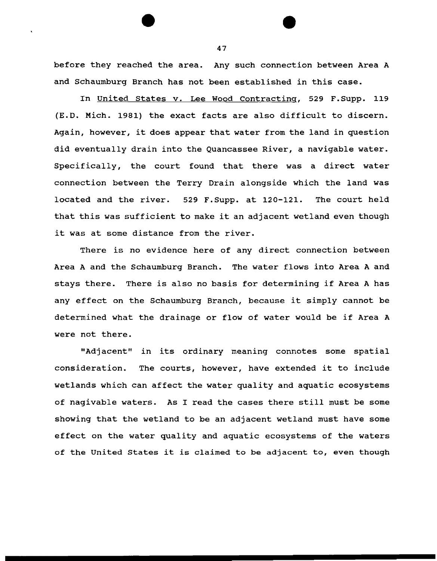before they reached the area. Any such connection between Area A and Schaumburg Branch has not been established in this case.

In United States v. Lee Wood Contracting, 529 F.Supp. 119 (E.D. Mich. 1981) the exact facts are also difficult to discern. Again, however, it does appear that water from the land in question did eventually drain into the Quancassee River, a navigable water. Specifically, the court found that there was a direct water connection between the Terry Drain alongside which the land was located and the river. 529 F.Supp. at 120-121. The court held that this was sufficient to make it an adjacent wetland even though it was at some distance from the river.

There is no evidence here of any direct connection between Area A and the Schaumburg Branch. The water flows into Area A and stays there. There is also no basis for determining if Area A has any effect on the Schaumburg Branch, because it simply cannot be determined what the drainage or flow of water would be if Area A were not there.

"Adjacent" in its ordinary meaning connotes some spatial consideration. The courts, however, have extended it to include wetlands which can affect the water quality and aquatic ecosystems of nagivable waters. As I read the cases there still must be some showing that the wetland to be an adjacent wetland must have some effect on the water quality and aquatic ecosystems of the waters of the United States it is claimed to be adjacent to, even though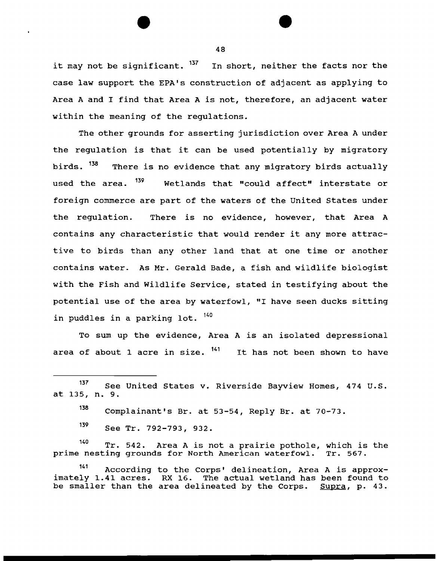it may not be significant. <sup>137</sup> In short, neither the facts nor the case law support the EPA's construction of adjacent as applying to Area A and I find that Area A is not, therefore, an adjacent water within the meaning of the regulations.

The other grounds for asserting jurisdiction over Area A under the regulation is that it can be used potentially by migratory birds. <sup>158</sup> There is no evidence that any migratory birds actually used the area.  $^{139}$  Wetlands that "could affect" interstate or foreign commerce are part of the waters of the United States under the regulation. There is no evidence, however, that Area A contains any characteristic that would render it any more attractive to birds than any other land that at one time or another contains water. As Mr. Gerald Bade, a fish and wildlife biologist with the Fish and Wildlife Service, stated in testifying about the potential use of the area by waterfowl, "I have seen ducks sitting in puddles in a parking lot. <sup>140</sup>

To sum up the evidence, Area A is an isolated depressional area of about 1 acre in size.  $141$  It has not been shown to have

139 See Tr. 792-793, 932.

<sup>140</sup> Tr. 542. Area A is not a prairie pothole, which is the nesting grounds for North American waterfowl. Tr. 567. prime nesting grounds for North American waterfowl.

141 According to the Corps' delineation, Area A is approximately 1.41 acres. RX 16. The actual wetland has been found to be smaller than the area delineated by the Corps. Supra, p. 43.

<sup>137</sup> See United States v. Riverside Bayview Homes, 474 u.s. at 135, n. 9.

<sup>138</sup> Complainant's Br. at 53-54, Reply Br. at 70-73.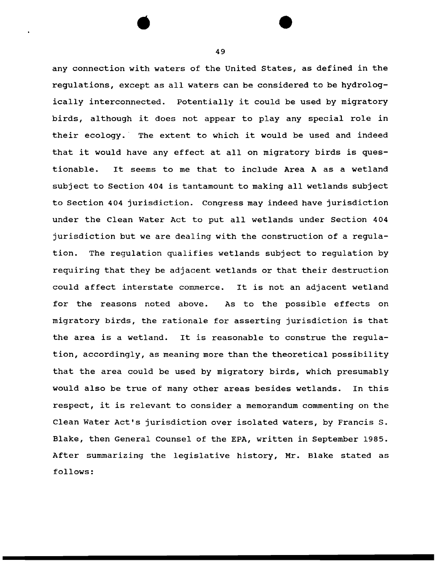any connection with waters of the United States, as defined in the regulations, except as all waters can be considered to be hydrologically interconnected. Potentially it could be used by migratory birds, although it does not appear to play any special role in their ecology. The extent to which it would be used and indeed that it would have any effect at all on migratory birds is questionable. It seems to me that to include Area A as a wetland subject to Section 404 is tantamount to making all wetlands subject to Section 404 jurisdiction. Congress may indeed have jurisdiction under the Clean Water Act to put all wetlands under Section 404 jurisdiction but we are dealing with the construction of a regulation. The regulation qualifies wetlands subject to regulation by requiring that they be adjacent wetlands or that their destruction could affect interstate commerce. It is not an adjacent wetland for the reasons noted above. As to the possible effects on migratory birds, the rationale for asserting jurisdiction is that the area is a wetland. It is reasonable to construe the regulation, accordingly, as meaning more than the theoretical possibility that the area could be used by migratory birds, which presumably would also be true of many other areas besides wetlands. In this respect, it is relevant to consider a memorandum commenting on the Clean Water Act's jurisdiction over isolated waters, by Francis s. Blake, then General Counsel of the EPA, written in September 1985. After summarizing the legislative history, Mr. Blake stated as follows:

49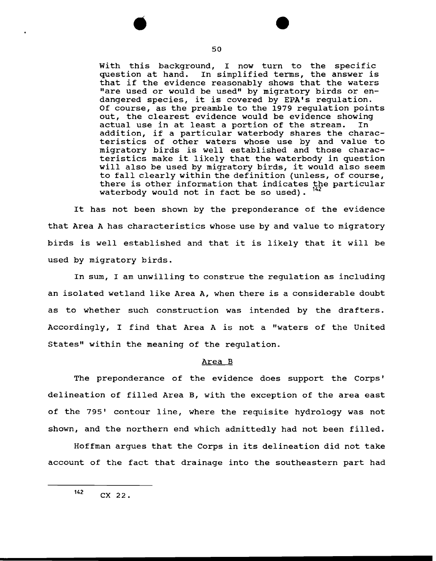With this background, I now turn to the specific question at hand. In simplified terms, the answer is that if the evidence reasonably shows that the waters "are used or would be used" by migratory birds or endangered species, it is covered by EPA's regulation. Of course, as the preamble to the 1979 regulation points out, the clearest evidence would be evidence showing<br>actual use in at least a portion of the stream. In actual use in at least a portion of the stream. addition, if a particular waterbody shares the characteristics of other waters whose use by and value to migratory birds is well established and those characteristics make it likely that the waterbody in question will also be used by migratory birds, it would also seem to fall clearly within the definition (unless, of course, there is other information that indicates the particular waterbody would not in fact be so used).

It has not been shown by the preponderance of the evidence that Area A has characteristics whose use by and value to migratory birds is well established and that it is likely that it will be used by migratory birds.

In sum, I am unwilling to construe the regulation as including an isolated wetland like Area A, when there is a considerable doubt as to whether such construction was intended by the drafters. Accordingly, I find that Area A is not a "waters of the United States" within the meaning of the regulation.

### Area B

The preponderance of the evidence does support the Corps' delineation of filled Area B, with the exception of the area east of the 795' contour line, where the requisite hydrology was not shown, and the northern end which admittedly had not been filled.

Hoffman argues that the Corps in its delineation did not take account of the fact that drainage into the southeastern part had

 $142$  CX 22.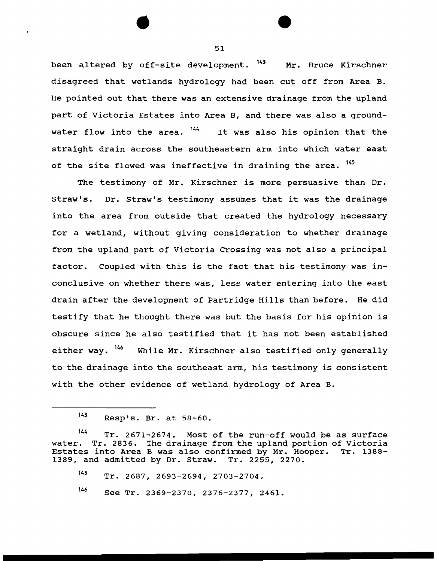been altered by off-site development. <sup>143</sup> Mr. Bruce Kirschner disagreed that wetlands hydrology had been cut off from Area B. He pointed out that there was an extensive drainage from the upland part of Victoria Estates into Area B, and there was also a groundwater flow into the area. <sup>144</sup> It was also his opinion that the straight drain across the southeastern arm into which water east of the site flowed was ineffective in draining the area. <sup>145</sup>

The testimony of Mr. Kirschner is more persuasive than Dr. straw's. Dr. Straw's testimony assumes that it was the drainage into the area from outside that created the hydrology necessary for a wetland, without giving consideration to whether drainage from the upland part of Victoria Crossing was not also a principal factor. coupled with this is the fact that his testimony was inconclusive on whether there was, less water entering into the east drain after the development of Partridge Hills than before. He did testify that he thought there was but the basis for his opinion is obscure since he also testified that it has not been established either way.  $146$  While Mr. Kirschner also testified only generally to the drainage into the southeast arm, his testimony is consistent with the other evidence of wetland hydrology of Area B.

145 Tr. 2687, 2693-2694, 2703-2704.

146 See Tr. 2369-2370, 2376-2377, 2461.

<sup>143</sup> Resp•s. Br. at 58-60.

<sup>&</sup>lt;sup>144</sup> Tr. 2671-2674. Most of the run-off would be as surface<br>water. Tr. 2836. The drainage from the upland portion of Victoria Tr. 2836. The drainage from the upland portion of Victoria Estates into Area B was also confirmed by Mr. Hooper. Tr. 1388- 1389, and admitted by Dr. straw. Tr. 2255, 2270.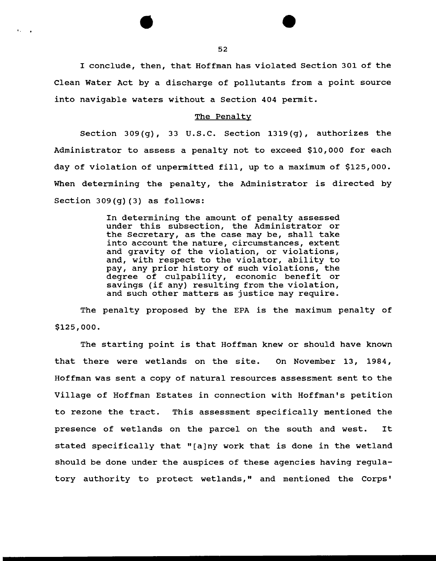I conclude, then, that Hoffman has violated Section 301 of the Clean Water Act by a discharge of pollutants from a point source into navigable waters without a Section 404 permit.

#### The Penalty

Section 309(g), 33 u.s.c. Section 1319(g), authorizes the Administrator to assess a penalty not to exceed \$10,000 for each day of violation of unpermitted fill, up to a maximum of \$125,000. When determining the penalty, the Administrator is directed by Section 309(g) (3) as follows:

> In determining the amount of penalty assessed under this subsection, the Administrator or the Secretary, as the case may be, shall take into account the nature, circumstances, extent and gravity of the violation, or violations, and, with respect to the violator, ability to pay, any prior history of such violations, the degree of culpability, economic benefit or savings (if any) resulting from the violation, and such other matters as justice may require.

The penalty proposed by the EPA is the maximum penalty of \$125,000.

The starting point is that Hoffman knew or should have known that there were wetlands on the site. On November 13, 1984, Hoffman was sent a copy of natural resources assessment sent to the Village of Hoffman Estates in connection with Hoffman's petition to rezone the tract. This assessment specifically mentioned the presence of wetlands on the parcel on the south and west. It stated specifically that "[a)ny work that is done in the wetland should be done under the auspices of these agencies having regulatory authority to protect wetlands," and mentioned the Corps'

'·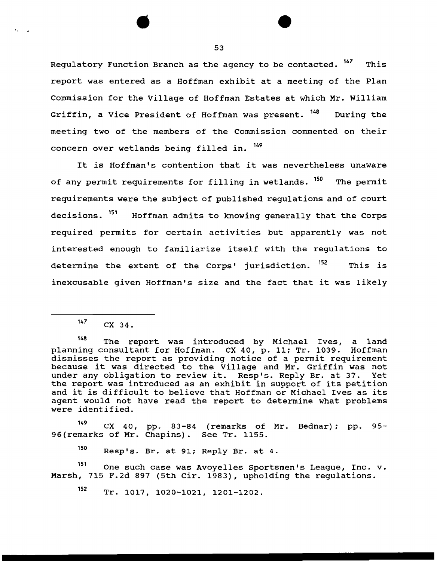Regulatory Function Branch as the agency to be contacted. <sup>147</sup> This report was entered as a Hoffman exhibit at a meeting of the Plan Commission for the Village of Hoffman Estates at which Mr. William Griffin, a Vice President of Hoffman was present. <sup>148</sup> During the meeting two of the members of the Commission commented on their concern over wetlands being filled in.  $^{149}$ 

It is Hoffman's contention that it was nevertheless unaware of any permit requirements for filling in wetlands. <sup>150</sup> The permit requirements were the subject of published regulations and of court decisions. <sup>151</sup> Hoffman admits to knowing generally that the Corps required permits for certain activities but apparently was not interested enough to familiarize itself with the regulations to determine the extent of the Corps' jurisdiction. <sup>152</sup> This is inexcusable given Hoffman's size and the fact that it was likely

 $\bullet$  ,  $\bullet$  ,  $\bullet$ 

<sup>149</sup> CX 40, pp. 83-84 (remarks of Mr. Bednar); pp. 95-96(remarks of Mr. Chapins). See Tr. 1155.

150 Resp's. Br. at 91; Reply Br. at 4.

151 One such case was Avoyelles Sportsmen's League, Inc. v. Marsh, 715 F.2d 897 (5th Cir. 1983), upholding the regulations.

152 Tr. 1017, 1020-1021, 1201-1202.

 $147$  CX 34.

<sup>148</sup> The report was introduced by Michael Ives, a land planning consultant for Hoffman. ex 40, p. 11; Tr. 1039. Hoffman dismisses the report as providing notice of a permit requirement because it was directed to the Village and Mr. Griffin was not under any obligation to review it. Resp's. Reply Br. at 37. Yet the report was introduced as an exhibit in support of its petition and it is difficult to believe that Hoffman or Michael Ives as its agent would not have read the report to determine what problems were identified.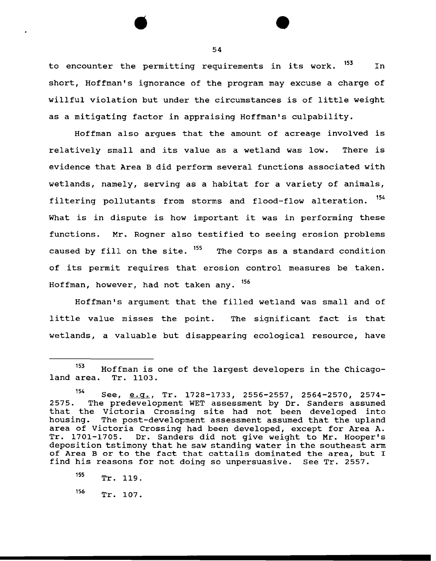to encounter the permitting requirements in its work.  $^{153}$  In short, Hoffman's ignorance of the program may excuse a charge of willful violation but under the circumstances is of little weight as a mitigating factor in appraising Hoffman's culpability.

Hoffman also argues that the amount of acreage involved is relatively small and its value as a wetland was low. There is evidence that Area B did perform several functions associated with wetlands, namely, serving as a habitat for a variety of animals, filtering pollutants from storms and flood-flow alteration. <sup>154</sup> What is in dispute is how important it was in performing these functions. Mr. Regner also testified to seeing erosion problems caused by fill on the site. <sup>155</sup> The Corps as a standard condition of its permit requires that erosion control measures be taken. Hoffman, however, had not taken any. 156

Hoffman's argument that the filled wetland was small and of little value misses the point. The significant fact is that wetlands, a valuable but disappearing ecological resource, have

<sup>&</sup>lt;sup>153</sup> Hoffman is one of the largest developers in the Chicago-<br>area. Tr. 1103. land area.

<sup>54</sup> See, <u>e.g.,</u> Tr. 1728-1733, 2556-2557, 2564-2570, 2574-<br>2575. The predevelopment WET assessment by Dr. Sanders assumed The predevelopment WET assessment by Dr. Sanders assumed that the Victoria Crossing site had not been developed into housing. The post-development assessment assumed that the upland area of Victoria Crossing had been developed, except for Area A. Tr. 1701-1705. Dr. Sanders did not give weight to Mr. Hooper's deposition tstimony that he saw standing water in the southeast arm of Area B or to the fact that cattails dominated the area, but I find his reasons for not doing so unpersuasive. See Tr. 2557.

<sup>155</sup> Tr. 119.

<sup>156</sup> Tr. 107.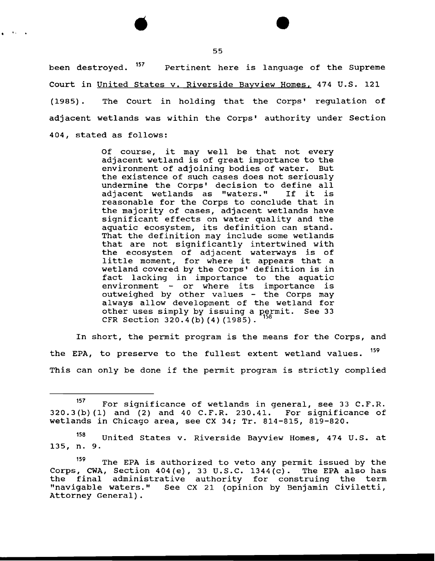been destroyed. <sup>157</sup> Pertinent here is language of the Supreme Court in United States v. Riverside Bayview Homes, 474 U.S. 121 (1985). The Court in holding that the Corps' regulation of adjacent wetlands was within the Corps' authority under Section 404, stated as follows:

> Of course, it may well be that not every adjacent wetland is of great importance to the environment of adjoining bodies of water. But the existence of such cases does not seriously undermine the Corps' decision to define all<br>adjacent wetlands as "waters." If it is adjacent wetlands as "waters." reasonable for the Corps to conclude that in the majority of cases, adjacent wetlands have significant effects on water quality and the aquatic ecosystem, its definition can stand. That the definition may include some wetlands that are not significantly intertwined with the ecosystem of adjacent waterways is of little moment, for where it appears that a wetland covered by the Corps' definition is in fact lacking in importance to the aquatic environment - or where its importance is outweighed by other values - the Corps may always allow development of the wetland for other uses simply by issuing a permit. See 33 CFR Section 320.4(b)(4)(1985).

In short, the permit program is the means for the Corps, and the EPA, to preserve to the fullest extent wetland values. <sup>159</sup> This can only be done if the permit program is strictly complied

135, n. 9. 158 United States v. Riverside Bayview Homes, 474 U.S. at

.. •

<sup>&</sup>lt;sup>157</sup> For significance of wetlands in general, see 33 C.F.R.<br>(b)(1) and (2) and 40 C.F.R. 230.41. For significance of  $320.3(b)$  (1) and (2) and 40 C.F.R. 230.41. wetlands in Chicago area, see ex 34; Tr. 814-815, 819-820.

<sup>&</sup>lt;sup>159</sup> The EPA is authorized to veto any permit issued by the Corps, CWA, Section 404(e), 33 u.s.c. 1344(c). The EPA also has the final administrative authority for construing the term "navigable waters." See CX 21 (opinion by Benjamin Civiletti, Attorney General).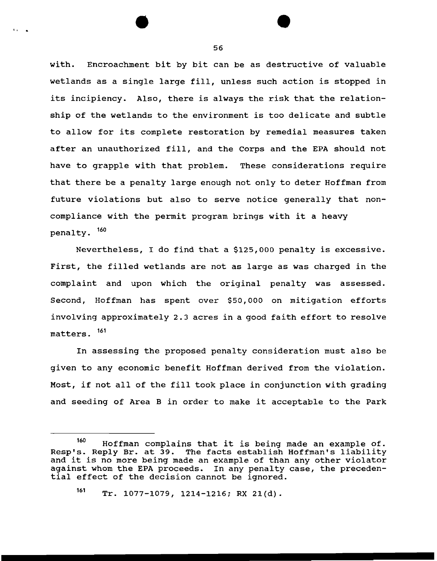with. Encroachment bit by bit can be as destructive of valuable wetlands as a single large fill, unless such action is stopped in its incipiency. Also, there is always the risk that the relationship of the wetlands to the environment is too delicate and subtle to allow for its complete restoration by remedial measures taken after an unauthorized fill, and the Corps and the EPA should not have to grapple with that problem. These considerations require that there be a penalty large enough not only to deter Hoffman from future violations but also to serve notice generally that noncompliance with the permit program brings with it a heavy penalty. <sup>160</sup>

Nevertheless, I do find that a \$125,000 penalty is excessive. First, the filled wetlands are not as large as was charged in the complaint and upon which the original penalty was assessed. Second, Hoffman has spent over \$50,000 on mitigation efforts involving approximately 2.3 acres in a good faith effort to resolve matters. <sup>161</sup>

In assessing the proposed penalty consideration must also be given to any economic benefit Hoffman derived from the violation. Most, if not all of the fill took place in conjunction with grading and seeding of Area B in order to make it acceptable to the Park

56

. . .

<sup>160</sup> Hoffman complains that it is being made an example of. Resp's. Reply Br. at 39. The facts establish Hoffman's liability and it is no more being made an example of than any other violator against whom the EPA proceeds. In any penalty case, the precedential effect of the decision cannot be ignored.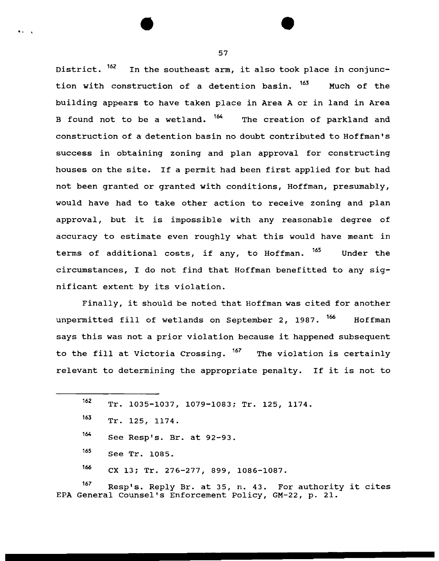District. <sup>162</sup> In the southeast arm, it also took place in conjunction with construction of a detention basin. <sup>163</sup> Much of the building appears to have taken place in Area A or in land in Area B found not to be a wetland. <sup>164</sup> The creation of parkland and construction of a detention basin no doubt contributed to Hoffman's success in obtaining zoning and plan approval for constructing houses on the site. If a permit had been first applied for but had not been granted or granted with conditions, Hoffman, presumably, would have had to take other action to receive zoning and plan approval, but it is impossible with any reasonable degree of accuracy to estimate even roughly what this would have meant in terms of additional costs, if any, to Hoffman. <sup>165</sup> Under the circumstances, I do not find that Hoffman benefitted to any significant extent by its violation.

Finally, it should be noted that Hoffman was cited for another unpermitted fill of wetlands on September 2, 1987. <sup>166</sup> Hoffman says this was not a prior violation because it happened subsequent to the fill at Victoria Crossing.  $167$  The violation is certainly relevant to determining the appropriate penalty. If it is not to

| 162 |  | Tr. 1035-1037, 1079-1083; Tr. 125, 1174. |  |  |  |  |  |
|-----|--|------------------------------------------|--|--|--|--|--|
|-----|--|------------------------------------------|--|--|--|--|--|

• • t

167 Resp's. Reply Br. at 35, n. 43. For authority it cites EPA General Counsel's Enforcement Policy, GM-22, p. 21.

 $163$  Tr. 125, 1174.

<sup>164</sup> See Resp's. Br. at 92-93.

<sup>165</sup> See Tr. 1085.

<sup>166</sup> CX 13; Tr. 276-277, 899, 1086-1087.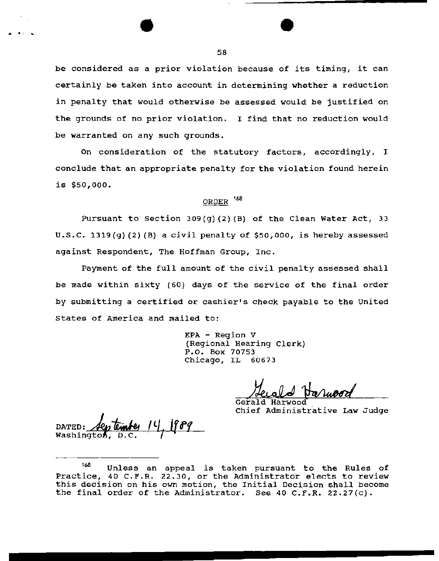be considered as a prior violation because of its timing, it can certainly be taken into account in determining whether a reduction in penalty that would otherwise be assessed would be justified on the grounds of no prior violation. I find that no reduction would be warranted on any such grounds.

On consideration of the statutory factors, accordingly, I conclude that an appropriate penalty for the violation found herein is \$50,000.

# ORDER <sup>168</sup>

Pursuant to Section 309(g)(2) (B) of the Clean Water Act, 33 u.s.c. l319(g) (2) (B} a civil penalty of \$50,000, is hereby assessed against Respondent, The Hoffman Group, Inc.

Payment of the full amount of the civil penalty assessed shall be made within sixty (60) days of the service of the final order by submitting a certified or cashier's check payable to the United states of America and mailed to:

> EPA - Region V (Regional Hearing Clerk) P.O. Box 70753 Chicago, IL 60673

Gerald Harwood Chief Administrative Law Judge

DATED: */20*<br>Washington

<sup>168</sup> Unless an appeal is taken pursuant to the Rules of Practice, 40 C.F.R. 22.30, or the Administrator elects to review this decision on his own motion, the Initial Decision shall become the final order of the Administrator. See 40 C.F.R. 22.27(c).